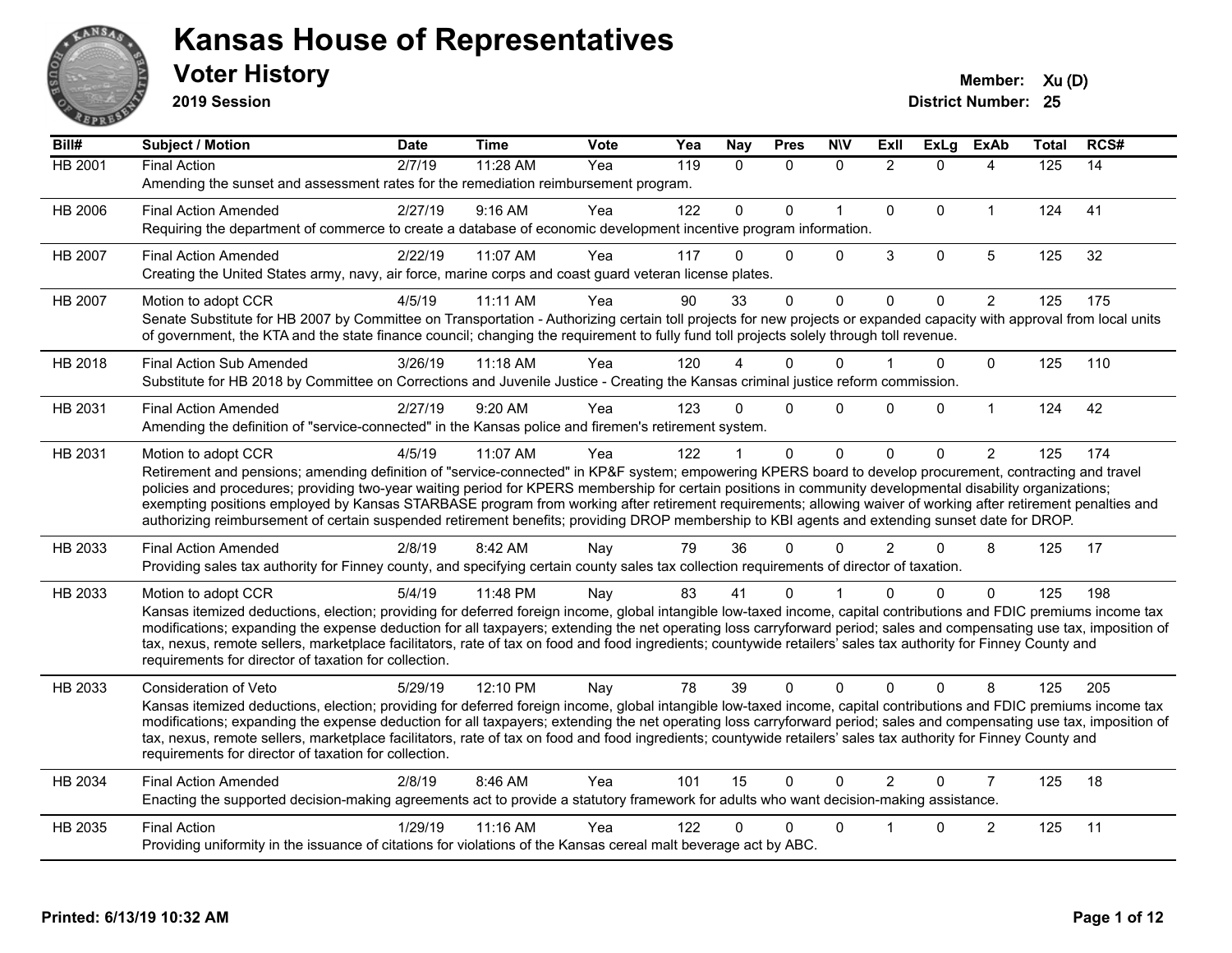

**2019 Session**

| Bill#          | <b>Subject / Motion</b>                                                                                                                                                                                                                                                                                                                      | <b>Date</b> | <b>Time</b> | <b>Vote</b> | Yea | Nay          | <b>Pres</b>  | <b>NIV</b>   | ExII           | <b>ExLg</b>  | <b>ExAb</b>    | <b>Total</b> | RCS# |
|----------------|----------------------------------------------------------------------------------------------------------------------------------------------------------------------------------------------------------------------------------------------------------------------------------------------------------------------------------------------|-------------|-------------|-------------|-----|--------------|--------------|--------------|----------------|--------------|----------------|--------------|------|
| <b>HB 2001</b> | <b>Final Action</b>                                                                                                                                                                                                                                                                                                                          | 2/7/19      | $11:28$ AM  | Yea         | 119 | $\mathbf{0}$ | $\mathbf{0}$ | $\mathbf 0$  | $\overline{2}$ | $\Omega$     | 4              | 125          | 14   |
|                | Amending the sunset and assessment rates for the remediation reimbursement program.                                                                                                                                                                                                                                                          |             |             |             |     |              |              |              |                |              |                |              |      |
| <b>HB 2006</b> | <b>Final Action Amended</b>                                                                                                                                                                                                                                                                                                                  | 2/27/19     | 9:16 AM     | Yea         | 122 | $\mathbf{0}$ | $\Omega$     | $\mathbf{1}$ | $\Omega$       | $\Omega$     | $\mathbf{1}$   | 124          | 41   |
|                | Requiring the department of commerce to create a database of economic development incentive program information.                                                                                                                                                                                                                             |             |             |             |     |              |              |              |                |              |                |              |      |
| HB 2007        | <b>Final Action Amended</b>                                                                                                                                                                                                                                                                                                                  | 2/22/19     | 11:07 AM    | Yea         | 117 | $\Omega$     | $\Omega$     | $\Omega$     | 3              | $\mathbf 0$  | 5              | 125          | 32   |
|                | Creating the United States army, navy, air force, marine corps and coast guard veteran license plates.                                                                                                                                                                                                                                       |             |             |             |     |              |              |              |                |              |                |              |      |
| HB 2007        | Motion to adopt CCR                                                                                                                                                                                                                                                                                                                          | 4/5/19      | $11:11$ AM  | Yea         | 90  | 33           | $\Omega$     | $\mathbf 0$  | $\mathbf 0$    | $\mathbf{0}$ | $\overline{2}$ | 125          | 175  |
|                | Senate Substitute for HB 2007 by Committee on Transportation - Authorizing certain toll projects for new projects or expanded capacity with approval from local units                                                                                                                                                                        |             |             |             |     |              |              |              |                |              |                |              |      |
|                | of government, the KTA and the state finance council; changing the requirement to fully fund toll projects solely through toll revenue.                                                                                                                                                                                                      |             |             |             |     |              |              |              |                |              |                |              |      |
| HB 2018        | <b>Final Action Sub Amended</b>                                                                                                                                                                                                                                                                                                              | 3/26/19     | $11:18$ AM  | Yea         | 120 |              | 0            | 0            |                | 0            | $\Omega$       | 125          | 110  |
|                | Substitute for HB 2018 by Committee on Corrections and Juvenile Justice - Creating the Kansas criminal justice reform commission.                                                                                                                                                                                                            |             |             |             |     |              |              |              |                |              |                |              |      |
| HB 2031        | <b>Final Action Amended</b>                                                                                                                                                                                                                                                                                                                  | 2/27/19     | 9:20 AM     | Yea         | 123 | $\Omega$     | $\Omega$     | $\Omega$     | $\Omega$       | $\Omega$     | $\mathbf{1}$   | 124          | 42   |
|                | Amending the definition of "service-connected" in the Kansas police and firemen's retirement system.                                                                                                                                                                                                                                         |             |             |             |     |              |              |              |                |              |                |              |      |
| HB 2031        | Motion to adopt CCR                                                                                                                                                                                                                                                                                                                          | 4/5/19      | 11:07 AM    | Yea         | 122 |              | $\mathbf 0$  | $\mathbf 0$  | $\Omega$       | $\Omega$     | $\overline{2}$ | 125          | 174  |
|                | Retirement and pensions; amending definition of "service-connected" in KP&F system; empowering KPERS board to develop procurement, contracting and travel                                                                                                                                                                                    |             |             |             |     |              |              |              |                |              |                |              |      |
|                | policies and procedures; providing two-year waiting period for KPERS membership for certain positions in community developmental disability organizations;<br>exempting positions employed by Kansas STARBASE program from working after retirement requirements; allowing waiver of working after retirement penalties and                  |             |             |             |     |              |              |              |                |              |                |              |      |
|                | authorizing reimbursement of certain suspended retirement benefits; providing DROP membership to KBI agents and extending sunset date for DROP.                                                                                                                                                                                              |             |             |             |     |              |              |              |                |              |                |              |      |
| HB 2033        | <b>Final Action Amended</b>                                                                                                                                                                                                                                                                                                                  | 2/8/19      | 8:42 AM     | Nay         | 79  | 36           | $\Omega$     | $\Omega$     | $\overline{2}$ | $\Omega$     | 8              | 125          | 17   |
|                | Providing sales tax authority for Finney county, and specifying certain county sales tax collection requirements of director of taxation.                                                                                                                                                                                                    |             |             |             |     |              |              |              |                |              |                |              |      |
| HB 2033        | Motion to adopt CCR                                                                                                                                                                                                                                                                                                                          | 5/4/19      | 11:48 PM    | Nay         | 83  | 41           | 0            |              | U              | 0            | $\mathbf{0}$   | 125          | 198  |
|                | Kansas itemized deductions, election; providing for deferred foreign income, global intangible low-taxed income, capital contributions and FDIC premiums income tax                                                                                                                                                                          |             |             |             |     |              |              |              |                |              |                |              |      |
|                | modifications; expanding the expense deduction for all taxpayers; extending the net operating loss carryforward period; sales and compensating use tax, imposition of                                                                                                                                                                        |             |             |             |     |              |              |              |                |              |                |              |      |
|                | tax, nexus, remote sellers, marketplace facilitators, rate of tax on food and food ingredients; countywide retailers' sales tax authority for Finney County and                                                                                                                                                                              |             |             |             |     |              |              |              |                |              |                |              |      |
|                | requirements for director of taxation for collection.                                                                                                                                                                                                                                                                                        |             |             |             |     |              |              |              |                |              |                |              |      |
| HB 2033        | Consideration of Veto                                                                                                                                                                                                                                                                                                                        | 5/29/19     | 12:10 PM    | Nay         | 78  | 39           | $\Omega$     | $\mathbf{0}$ | $\Omega$       | $\Omega$     | 8              | 125          | 205  |
|                | Kansas itemized deductions, election; providing for deferred foreign income, global intangible low-taxed income, capital contributions and FDIC premiums income tax<br>modifications; expanding the expense deduction for all taxpayers; extending the net operating loss carryforward period; sales and compensating use tax, imposition of |             |             |             |     |              |              |              |                |              |                |              |      |
|                | tax, nexus, remote sellers, marketplace facilitators, rate of tax on food and food ingredients; countywide retailers' sales tax authority for Finney County and                                                                                                                                                                              |             |             |             |     |              |              |              |                |              |                |              |      |
|                | requirements for director of taxation for collection.                                                                                                                                                                                                                                                                                        |             |             |             |     |              |              |              |                |              |                |              |      |
| HB 2034        | <b>Final Action Amended</b>                                                                                                                                                                                                                                                                                                                  | 2/8/19      | 8:46 AM     | Yea         | 101 | 15           | $\mathbf 0$  | $\Omega$     | $\mathcal{P}$  | $\Omega$     | $\overline{7}$ | 125          | 18   |
|                | Enacting the supported decision-making agreements act to provide a statutory framework for adults who want decision-making assistance.                                                                                                                                                                                                       |             |             |             |     |              |              |              |                |              |                |              |      |
| HB 2035        | <b>Final Action</b>                                                                                                                                                                                                                                                                                                                          | 1/29/19     | 11:16 AM    | Yea         | 122 | 0            | $\Omega$     | $\Omega$     |                | $\Omega$     | $\overline{c}$ | 125          | 11   |
|                | Providing uniformity in the issuance of citations for violations of the Kansas cereal malt beverage act by ABC.                                                                                                                                                                                                                              |             |             |             |     |              |              |              |                |              |                |              |      |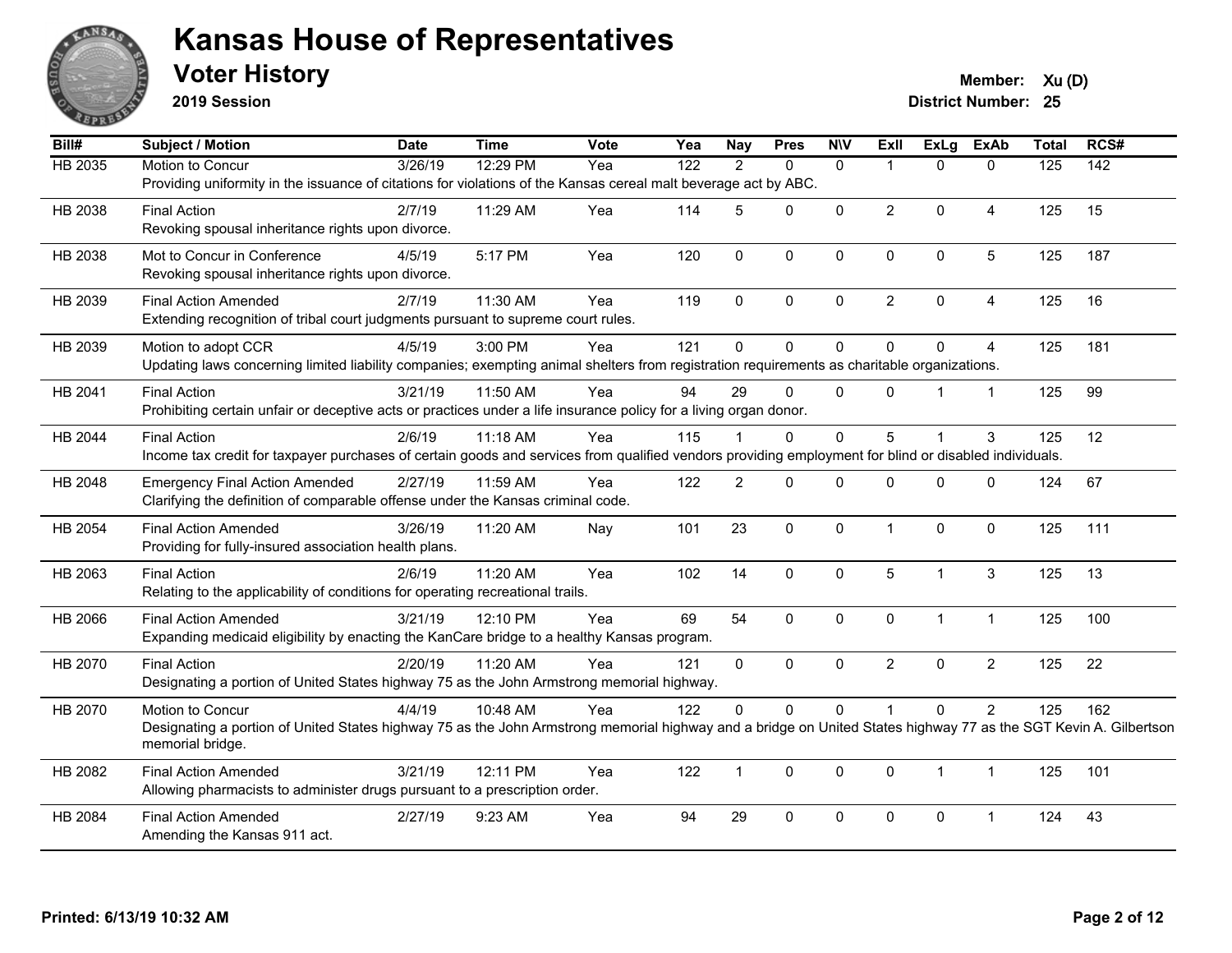

**2019 Session**

**Voter History Member:**  $Xu(D)$ 

| Bill#          | <b>Subject / Motion</b>                                                                                                                                                              | <b>Date</b>         | <b>Time</b> | Vote | Yea              | <b>Nay</b>     | <b>Pres</b>  | <b>N\V</b>   | ExII                    | <b>ExLg</b>  | <b>ExAb</b>    | <b>Total</b>     | RCS#             |
|----------------|--------------------------------------------------------------------------------------------------------------------------------------------------------------------------------------|---------------------|-------------|------|------------------|----------------|--------------|--------------|-------------------------|--------------|----------------|------------------|------------------|
| <b>HB 2035</b> | Motion to Concur                                                                                                                                                                     | $\frac{1}{3/26/19}$ | 12:29 PM    | Yea  | $\overline{122}$ | 2              | $\Omega$     | $\mathbf{0}$ | $\overline{\mathbf{1}}$ | $\Omega$     | $\Omega$       | $\overline{125}$ | $\overline{142}$ |
|                | Providing uniformity in the issuance of citations for violations of the Kansas cereal malt beverage act by ABC.                                                                      |                     |             |      |                  |                |              |              |                         |              |                |                  |                  |
| HB 2038        | <b>Final Action</b>                                                                                                                                                                  | 2/7/19              | 11:29 AM    | Yea  | 114              | 5              | $\mathbf{0}$ | $\Omega$     | $\overline{2}$          | $\Omega$     | 4              | 125              | 15               |
|                | Revoking spousal inheritance rights upon divorce.                                                                                                                                    |                     |             |      |                  |                |              |              |                         |              |                |                  |                  |
| HB 2038        | Mot to Concur in Conference                                                                                                                                                          | 4/5/19              | 5:17 PM     | Yea  | 120              | $\mathbf 0$    | 0            | 0            | $\mathbf 0$             | 0            | 5              | 125              | 187              |
|                | Revoking spousal inheritance rights upon divorce.                                                                                                                                    |                     |             |      |                  |                |              |              |                         |              |                |                  |                  |
| HB 2039        | <b>Final Action Amended</b>                                                                                                                                                          | 2/7/19              | 11:30 AM    | Yea  | 119              | $\mathbf{0}$   | $\mathbf{0}$ | $\mathbf{0}$ | $\overline{2}$          | $\mathbf{0}$ | 4              | 125              | 16               |
|                | Extending recognition of tribal court judgments pursuant to supreme court rules.                                                                                                     |                     |             |      |                  |                |              |              |                         |              |                |                  |                  |
| HB 2039        | Motion to adopt CCR                                                                                                                                                                  | 4/5/19              | 3:00 PM     | Yea  | 121              | $\mathbf{0}$   | $\Omega$     | $\Omega$     | $\mathbf{0}$            | $\Omega$     | 4              | 125              | 181              |
|                | Updating laws concerning limited liability companies; exempting animal shelters from registration requirements as charitable organizations.                                          |                     |             |      |                  |                |              |              |                         |              |                |                  |                  |
| HB 2041        | <b>Final Action</b>                                                                                                                                                                  | 3/21/19             | 11:50 AM    | Yea  | 94               | 29             | $\Omega$     | $\mathbf{0}$ | $\mathbf{0}$            |              | $\overline{1}$ | 125              | 99               |
|                | Prohibiting certain unfair or deceptive acts or practices under a life insurance policy for a living organ donor.                                                                    |                     |             |      |                  |                |              |              |                         |              |                |                  |                  |
| HB 2044        | <b>Final Action</b>                                                                                                                                                                  | 2/6/19              | $11:18$ AM  | Yea  | 115              |                | $\mathbf{0}$ | $\Omega$     | 5                       |              | 3              | 125              | 12               |
|                | Income tax credit for taxpayer purchases of certain goods and services from qualified vendors providing employment for blind or disabled individuals.                                |                     |             |      |                  |                |              |              |                         |              |                |                  |                  |
| HB 2048        | <b>Emergency Final Action Amended</b>                                                                                                                                                | 2/27/19             | 11:59 AM    | Yea  | 122              | $\overline{c}$ | $\Omega$     | $\Omega$     | 0                       | $\mathbf{0}$ | $\Omega$       | 124              | 67               |
|                | Clarifying the definition of comparable offense under the Kansas criminal code.                                                                                                      |                     |             |      |                  |                |              |              |                         |              |                |                  |                  |
| HB 2054        | <b>Final Action Amended</b>                                                                                                                                                          | 3/26/19             | 11:20 AM    | Nay  | 101              | 23             | $\Omega$     | $\mathbf 0$  | $\overline{1}$          | $\Omega$     | $\Omega$       | 125              | 111              |
|                | Providing for fully-insured association health plans.                                                                                                                                |                     |             |      |                  |                |              |              |                         |              |                |                  |                  |
| HB 2063        | <b>Final Action</b>                                                                                                                                                                  | 2/6/19              | 11:20 AM    | Yea  | 102              | 14             | 0            | $\mathbf 0$  | 5                       | 1            | $\mathbf{3}$   | 125              | 13               |
|                | Relating to the applicability of conditions for operating recreational trails.                                                                                                       |                     |             |      |                  |                |              |              |                         |              |                |                  |                  |
| HB 2066        | <b>Final Action Amended</b>                                                                                                                                                          | 3/21/19             | 12:10 PM    | Yea  | 69               | 54             | 0            | $\mathbf 0$  | $\mathbf 0$             | $\mathbf{1}$ | $\mathbf{1}$   | 125              | 100              |
|                | Expanding medicaid eligibility by enacting the KanCare bridge to a healthy Kansas program.                                                                                           |                     |             |      |                  |                |              |              |                         |              |                |                  |                  |
| HB 2070        | <b>Final Action</b>                                                                                                                                                                  | 2/20/19             | 11:20 AM    | Yea  | 121              | $\mathbf{0}$   | $\Omega$     | $\mathbf{0}$ | $\overline{2}$          | $\Omega$     | $\overline{2}$ | 125              | 22               |
|                | Designating a portion of United States highway 75 as the John Armstrong memorial highway.                                                                                            |                     |             |      |                  |                |              |              |                         |              |                |                  |                  |
| HB 2070        | Motion to Concur                                                                                                                                                                     | 4/4/19              | 10:48 AM    | Yea  | 122              | 0              | 0            | $\mathbf 0$  |                         | $\mathbf{0}$ | $\overline{c}$ | 125              | 162              |
|                | Designating a portion of United States highway 75 as the John Armstrong memorial highway and a bridge on United States highway 77 as the SGT Kevin A. Gilbertson<br>memorial bridge. |                     |             |      |                  |                |              |              |                         |              |                |                  |                  |
|                |                                                                                                                                                                                      |                     |             |      |                  |                |              |              |                         |              |                |                  |                  |
| HB 2082        | <b>Final Action Amended</b><br>Allowing pharmacists to administer drugs pursuant to a prescription order.                                                                            | 3/21/19             | 12:11 PM    | Yea  | 122              | $\mathbf{1}$   | $\mathbf{0}$ | $\Omega$     | $\mathbf{0}$            | $\mathbf{1}$ | $\mathbf{1}$   | 125              | 101              |
|                |                                                                                                                                                                                      |                     |             |      |                  |                |              |              |                         |              |                |                  |                  |
| HB 2084        | <b>Final Action Amended</b><br>Amending the Kansas 911 act.                                                                                                                          | 2/27/19             | 9:23 AM     | Yea  | 94               | 29             | $\mathbf 0$  | 0            | $\mathbf 0$             | 0            | -1             | 124              | 43               |
|                |                                                                                                                                                                                      |                     |             |      |                  |                |              |              |                         |              |                |                  |                  |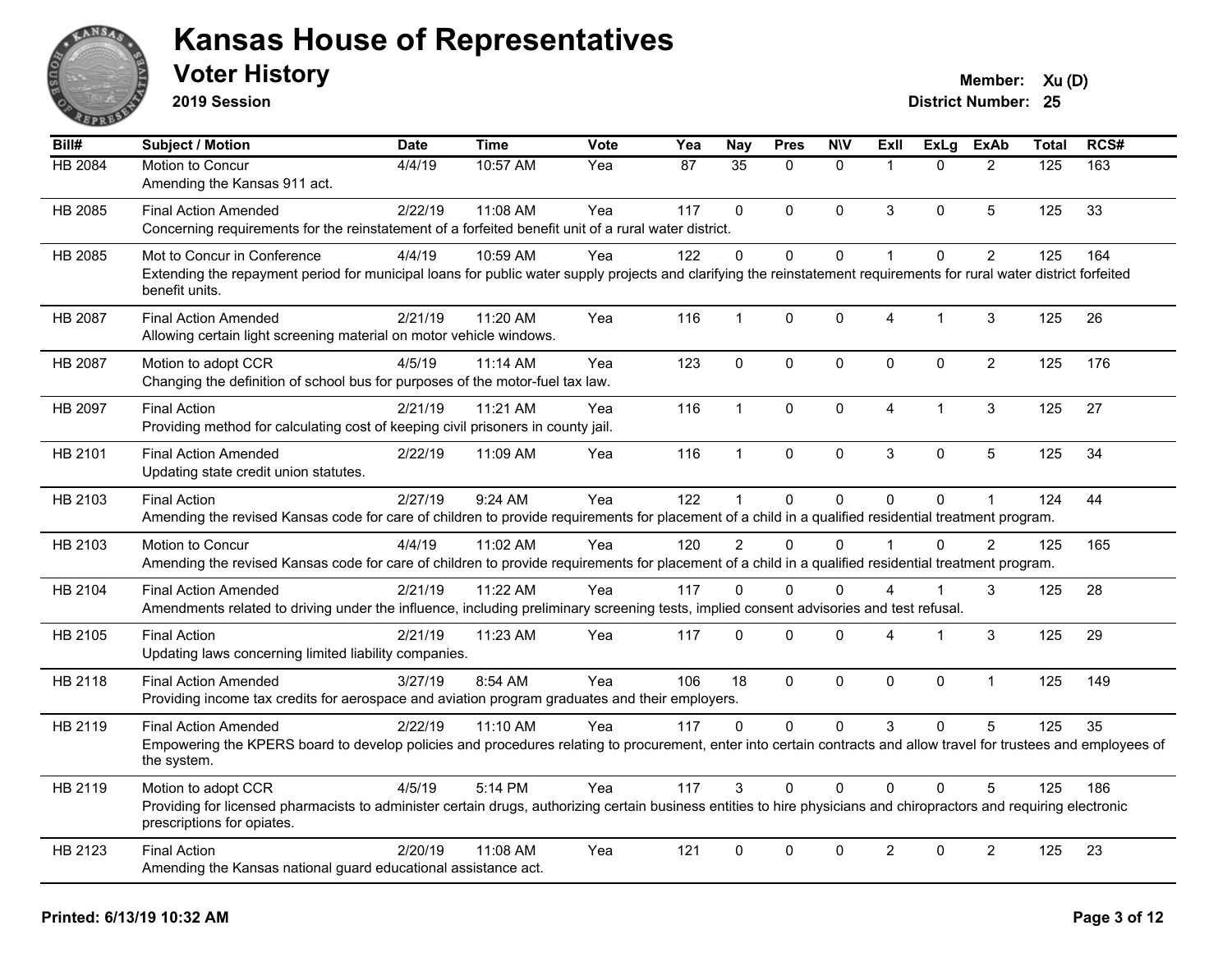

**2019 Session**

| Bill#          | <b>Subject / Motion</b>                                                                                                                                                                                                  | <b>Date</b> | <b>Time</b> | Vote | Yea             | <b>Nay</b>      | <b>Pres</b>  | <b>NIV</b>   | ExII                    | <b>ExLg</b> | <b>ExAb</b>    | Total | RCS# |
|----------------|--------------------------------------------------------------------------------------------------------------------------------------------------------------------------------------------------------------------------|-------------|-------------|------|-----------------|-----------------|--------------|--------------|-------------------------|-------------|----------------|-------|------|
| HB 2084        | Motion to Concur<br>Amending the Kansas 911 act.                                                                                                                                                                         | 4/4/19      | 10:57 AM    | Yea  | $\overline{87}$ | $\overline{35}$ | $\Omega$     | $\mathbf{0}$ | $\mathbf{1}$            | $\Omega$    | $\overline{2}$ | 125   | 163  |
| HB 2085        | <b>Final Action Amended</b><br>Concerning requirements for the reinstatement of a forfeited benefit unit of a rural water district.                                                                                      | 2/22/19     | 11:08 AM    | Yea  | 117             | $\Omega$        | $\Omega$     | $\mathbf 0$  | 3                       | $\Omega$    | 5              | 125   | 33   |
| HB 2085        | Mot to Concur in Conference<br>Extending the repayment period for municipal loans for public water supply projects and clarifying the reinstatement requirements for rural water district forfeited<br>benefit units.    | 4/4/19      | 10:59 AM    | Yea  | 122             | $\Omega$        | $\Omega$     | $\mathbf{0}$ | $\mathbf{1}$            | $\Omega$    | $\overline{2}$ | 125   | 164  |
| <b>HB 2087</b> | <b>Final Action Amended</b><br>Allowing certain light screening material on motor vehicle windows.                                                                                                                       | 2/21/19     | 11:20 AM    | Yea  | 116             | $\mathbf{1}$    | 0            | $\mathbf 0$  | $\overline{\mathbf{4}}$ | 1           | 3              | 125   | 26   |
| HB 2087        | Motion to adopt CCR<br>Changing the definition of school bus for purposes of the motor-fuel tax law.                                                                                                                     | 4/5/19      | 11:14 AM    | Yea  | 123             | $\mathbf 0$     | $\mathbf 0$  | $\mathbf 0$  | $\mathbf{0}$            | 0           | $\overline{2}$ | 125   | 176  |
| HB 2097        | <b>Final Action</b><br>Providing method for calculating cost of keeping civil prisoners in county jail.                                                                                                                  | 2/21/19     | 11:21 AM    | Yea  | 116             | $\mathbf{1}$    | $\mathbf{0}$ | $\mathbf 0$  | $\overline{4}$          | 1           | 3              | 125   | 27   |
| HB 2101        | <b>Final Action Amended</b><br>Updating state credit union statutes.                                                                                                                                                     | 2/22/19     | 11:09 AM    | Yea  | 116             | $\mathbf{1}$    | $\mathbf 0$  | $\mathbf 0$  | 3                       | $\mathbf 0$ | 5              | 125   | 34   |
| HB 2103        | <b>Final Action</b><br>Amending the revised Kansas code for care of children to provide requirements for placement of a child in a qualified residential treatment program.                                              | 2/27/19     | 9:24 AM     | Yea  | 122             | 1               | 0            | $\mathbf 0$  | $\Omega$                | $\mathbf 0$ | $\mathbf{1}$   | 124   | 44   |
| HB 2103        | Motion to Concur<br>Amending the revised Kansas code for care of children to provide requirements for placement of a child in a qualified residential treatment program.                                                 | 4/4/19      | 11:02 AM    | Yea  | 120             | $\mathcal{P}$   | $\Omega$     | $\Omega$     | $\blacktriangleleft$    | $\Omega$    | $\mathcal{P}$  | 125   | 165  |
| HB 2104        | <b>Final Action Amended</b><br>Amendments related to driving under the influence, including preliminary screening tests, implied consent advisories and test refusal.                                                    | 2/21/19     | 11:22 AM    | Yea  | 117             | 0               | $\Omega$     | $\mathbf 0$  | 4                       |             | 3              | 125   | 28   |
| HB 2105        | <b>Final Action</b><br>Updating laws concerning limited liability companies.                                                                                                                                             | 2/21/19     | 11:23 AM    | Yea  | 117             | $\Omega$        | $\Omega$     | $\mathbf 0$  | 4                       | 1           | 3              | 125   | 29   |
| HB 2118        | <b>Final Action Amended</b><br>Providing income tax credits for aerospace and aviation program graduates and their employers.                                                                                            | 3/27/19     | 8:54 AM     | Yea  | 106             | 18              | $\Omega$     | $\mathbf 0$  | $\mathbf{0}$            | $\Omega$    | $\mathbf{1}$   | 125   | 149  |
| HB 2119        | <b>Final Action Amended</b><br>Empowering the KPERS board to develop policies and procedures relating to procurement, enter into certain contracts and allow travel for trustees and employees of<br>the system.         | 2/22/19     | $11:10$ AM  | Yea  | 117             | $\Omega$        | $\Omega$     | $\mathbf{0}$ | 3                       | $\Omega$    | 5              | 125   | 35   |
| HB 2119        | Motion to adopt CCR<br>Providing for licensed pharmacists to administer certain drugs, authorizing certain business entities to hire physicians and chiropractors and requiring electronic<br>prescriptions for opiates. | 4/5/19      | 5:14 PM     | Yea  | 117             | 3               | 0            | $\Omega$     | $\Omega$                | $\Omega$    | 5              | 125   | 186  |
| HB 2123        | <b>Final Action</b><br>Amending the Kansas national guard educational assistance act.                                                                                                                                    | 2/20/19     | 11:08 AM    | Yea  | 121             | $\mathbf 0$     | $\mathbf 0$  | $\mathbf 0$  | $\overline{2}$          | $\mathbf 0$ | $\overline{2}$ | 125   | 23   |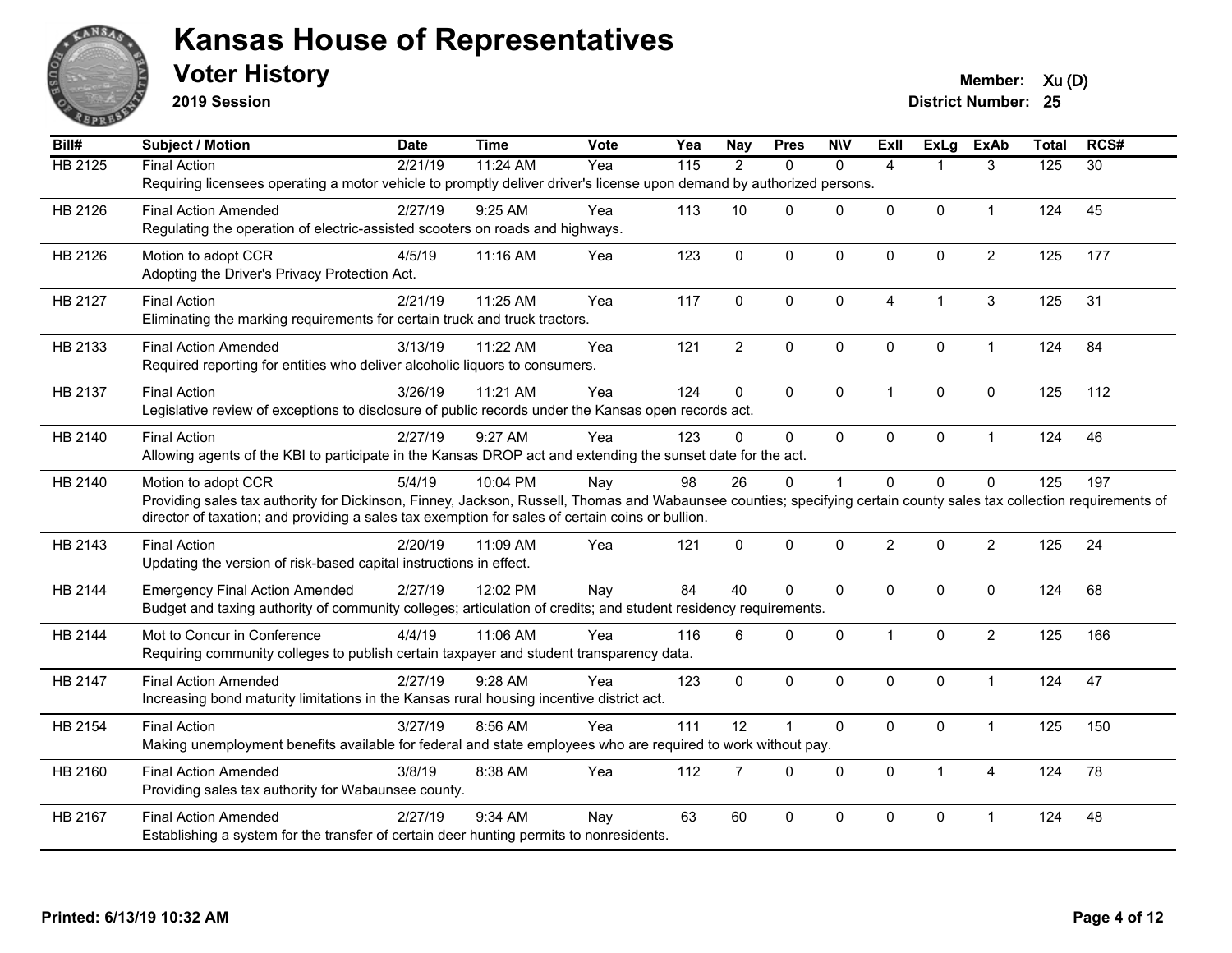

**2019 Session**

**Voter History Member:**  $Xu(D)$ 

| Bill#          | Subject / Motion                                                                                                                                                     | <b>Date</b> | <b>Time</b> | Vote | Yea               | <b>Nay</b>     | <b>Pres</b>          | <b>N\V</b>   | Exll           | <b>ExLg</b>  | <b>ExAb</b>    | <b>Total</b> | RCS#            |
|----------------|----------------------------------------------------------------------------------------------------------------------------------------------------------------------|-------------|-------------|------|-------------------|----------------|----------------------|--------------|----------------|--------------|----------------|--------------|-----------------|
| <b>HB 2125</b> | <b>Final Action</b>                                                                                                                                                  | 2/21/19     | 11:24 AM    | Yea  | $\frac{115}{115}$ | 2              | $\Omega$             | $\mathbf{0}$ | $\overline{4}$ |              | 3              | 125          | $\overline{30}$ |
|                | Requiring licensees operating a motor vehicle to promptly deliver driver's license upon demand by authorized persons.                                                |             |             |      |                   |                |                      |              |                |              |                |              |                 |
| HB 2126        | <b>Final Action Amended</b>                                                                                                                                          | 2/27/19     | 9:25 AM     | Yea  | 113               | 10             | $\Omega$             | $\Omega$     | $\Omega$       | $\Omega$     | $\mathbf{1}$   | 124          | 45              |
|                | Regulating the operation of electric-assisted scooters on roads and highways.                                                                                        |             |             |      |                   |                |                      |              |                |              |                |              |                 |
| HB 2126        | Motion to adopt CCR                                                                                                                                                  | 4/5/19      | 11:16 AM    | Yea  | 123               | $\pmb{0}$      | 0                    | $\mathbf 0$  | $\mathbf 0$    | 0            | $\overline{c}$ | 125          | 177             |
|                | Adopting the Driver's Privacy Protection Act.                                                                                                                        |             |             |      |                   |                |                      |              |                |              |                |              |                 |
|                |                                                                                                                                                                      |             |             | Yea  | 117               | $\Omega$       | $\Omega$             | $\mathbf{0}$ | $\overline{4}$ |              |                |              | 31              |
| HB 2127        | <b>Final Action</b><br>Eliminating the marking requirements for certain truck and truck tractors.                                                                    | 2/21/19     | 11:25 AM    |      |                   |                |                      |              |                |              | 3              | 125          |                 |
|                |                                                                                                                                                                      |             |             |      |                   |                |                      |              |                |              |                |              |                 |
| HB 2133        | <b>Final Action Amended</b>                                                                                                                                          | 3/13/19     | 11:22 AM    | Yea  | 121               | $\overline{2}$ | 0                    | $\pmb{0}$    | 0              | $\pmb{0}$    | $\mathbf{1}$   | 124          | 84              |
|                | Required reporting for entities who deliver alcoholic liquors to consumers.                                                                                          |             |             |      |                   |                |                      |              |                |              |                |              |                 |
| HB 2137        | <b>Final Action</b>                                                                                                                                                  | 3/26/19     | 11:21 AM    | Yea  | 124               | $\Omega$       | $\Omega$             | $\mathbf{0}$ | $\mathbf{1}$   | $\mathbf{0}$ | $\mathbf{0}$   | 125          | 112             |
|                | Legislative review of exceptions to disclosure of public records under the Kansas open records act.                                                                  |             |             |      |                   |                |                      |              |                |              |                |              |                 |
| HB 2140        | <b>Final Action</b>                                                                                                                                                  | 2/27/19     | 9:27 AM     | Yea  | 123               | $\Omega$       | $\Omega$             | $\mathbf{0}$ | 0              | 0            | $\mathbf{1}$   | 124          | 46              |
|                | Allowing agents of the KBI to participate in the Kansas DROP act and extending the sunset date for the act.                                                          |             |             |      |                   |                |                      |              |                |              |                |              |                 |
| HB 2140        | Motion to adopt CCR                                                                                                                                                  | 5/4/19      | 10:04 PM    | Nay  | 98                | 26             | $\Omega$             |              | $\Omega$       | $\mathbf 0$  | $\mathbf{0}$   | 125          | 197             |
|                | Providing sales tax authority for Dickinson, Finney, Jackson, Russell, Thomas and Wabaunsee counties; specifying certain county sales tax collection requirements of |             |             |      |                   |                |                      |              |                |              |                |              |                 |
|                | director of taxation; and providing a sales tax exemption for sales of certain coins or bullion.                                                                     |             |             |      |                   |                |                      |              |                |              |                |              |                 |
| HB 2143        | <b>Final Action</b>                                                                                                                                                  | 2/20/19     | 11:09 AM    | Yea  | 121               | $\mathbf{0}$   | 0                    | $\mathbf{0}$ | $\overline{2}$ | $\Omega$     | $\overline{2}$ | 125          | 24              |
|                | Updating the version of risk-based capital instructions in effect.                                                                                                   |             |             |      |                   |                |                      |              |                |              |                |              |                 |
|                |                                                                                                                                                                      |             |             |      |                   |                |                      |              |                |              |                |              |                 |
| HB 2144        | <b>Emergency Final Action Amended</b><br>Budget and taxing authority of community colleges; articulation of credits; and student residency requirements.             | 2/27/19     | 12:02 PM    | Nay  | 84                | 40             | $\Omega$             | $\mathbf 0$  | $\Omega$       | 0            | $\mathbf 0$    | 124          | 68              |
|                |                                                                                                                                                                      |             |             |      |                   |                |                      |              |                |              |                |              |                 |
| HB 2144        | Mot to Concur in Conference                                                                                                                                          | 4/4/19      | 11:06 AM    | Yea  | 116               | 6              | $\Omega$             | $\mathbf{0}$ | $\mathbf 1$    | $\mathbf{0}$ | $\overline{2}$ | 125          | 166             |
|                | Requiring community colleges to publish certain taxpayer and student transparency data.                                                                              |             |             |      |                   |                |                      |              |                |              |                |              |                 |
| HB 2147        | <b>Final Action Amended</b>                                                                                                                                          | 2/27/19     | 9:28 AM     | Yea  | 123               | $\mathbf 0$    | $\Omega$             | $\mathbf 0$  | $\Omega$       | $\mathbf{0}$ | $\mathbf{1}$   | 124          | 47              |
|                | Increasing bond maturity limitations in the Kansas rural housing incentive district act.                                                                             |             |             |      |                   |                |                      |              |                |              |                |              |                 |
| HB 2154        | <b>Final Action</b>                                                                                                                                                  | 3/27/19     | 8:56 AM     | Yea  | 111               | 12             | $\blacktriangleleft$ | $\mathbf 0$  | 0              | $\mathbf 0$  | $\mathbf{1}$   | 125          | 150             |
|                | Making unemployment benefits available for federal and state employees who are required to work without pay.                                                         |             |             |      |                   |                |                      |              |                |              |                |              |                 |
| HB 2160        | <b>Final Action Amended</b>                                                                                                                                          | 3/8/19      | 8:38 AM     | Yea  | 112               | 7              | $\mathbf{0}$         | $\mathbf 0$  | $\Omega$       | 1            | $\overline{4}$ | 124          | 78              |
|                | Providing sales tax authority for Wabaunsee county.                                                                                                                  |             |             |      |                   |                |                      |              |                |              |                |              |                 |
|                |                                                                                                                                                                      |             |             |      |                   |                |                      |              |                |              |                |              |                 |
| HB 2167        | <b>Final Action Amended</b>                                                                                                                                          | 2/27/19     | 9:34 AM     | Nay  | 63                | 60             | 0                    | 0            | 0              | 0            | $\overline{1}$ | 124          | 48              |
|                | Establishing a system for the transfer of certain deer hunting permits to nonresidents.                                                                              |             |             |      |                   |                |                      |              |                |              |                |              |                 |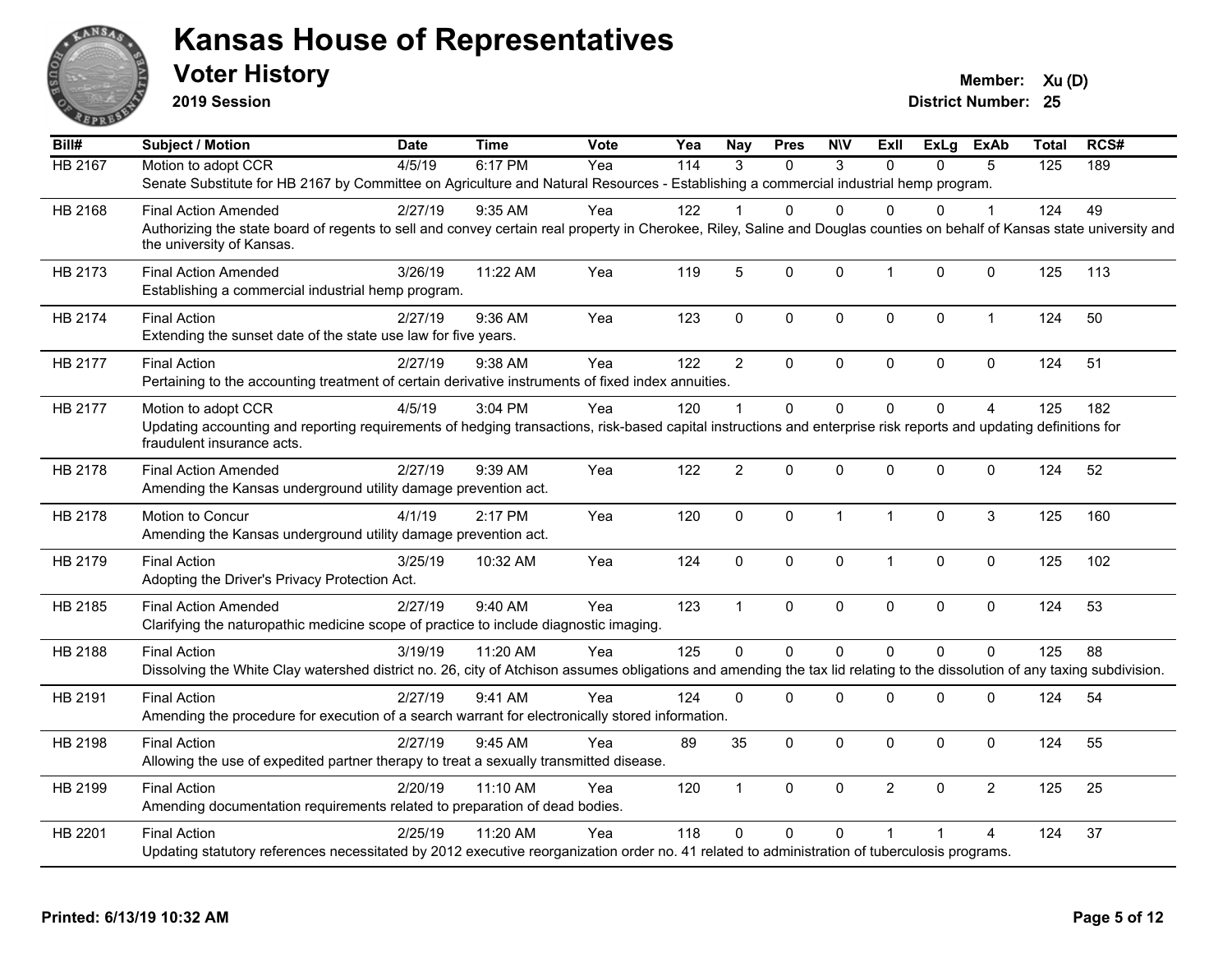

**2019 Session**

**Voter History Member:**  $Xu(D)$ 

| Bill#          | <b>Subject / Motion</b>                                                                                                                                                                                               | <b>Date</b> | <b>Time</b> | <b>Vote</b> | Yea | Nay            | <b>Pres</b> | <b>NIV</b>   | Exll           | ExLg         | <b>ExAb</b>    | <b>Total</b> | RCS# |
|----------------|-----------------------------------------------------------------------------------------------------------------------------------------------------------------------------------------------------------------------|-------------|-------------|-------------|-----|----------------|-------------|--------------|----------------|--------------|----------------|--------------|------|
| <b>HB 2167</b> | Motion to adopt CCR                                                                                                                                                                                                   | 4/5/19      | 6:17 PM     | Yea         | 114 | 3              | $\Omega$    | 3            | $\Omega$       | $\Omega$     | 5              | 125          | 189  |
|                | Senate Substitute for HB 2167 by Committee on Agriculture and Natural Resources - Establishing a commercial industrial hemp program.                                                                                  |             |             |             |     |                |             |              |                |              |                |              |      |
| HB 2168        | <b>Final Action Amended</b>                                                                                                                                                                                           | 2/27/19     | $9:35$ AM   | Yea         | 122 |                | 0           | $\Omega$     | $\Omega$       | 0            | $\mathbf 1$    | 124          | 49   |
|                | Authorizing the state board of regents to sell and convey certain real property in Cherokee, Riley, Saline and Douglas counties on behalf of Kansas state university and<br>the university of Kansas.                 |             |             |             |     |                |             |              |                |              |                |              |      |
| HB 2173        | <b>Final Action Amended</b><br>Establishing a commercial industrial hemp program.                                                                                                                                     | 3/26/19     | 11:22 AM    | Yea         | 119 | 5              | $\Omega$    | $\mathbf{0}$ | $\mathbf{1}$   | $\Omega$     | $\mathbf{0}$   | 125          | 113  |
| <b>HB 2174</b> | <b>Final Action</b><br>Extending the sunset date of the state use law for five years.                                                                                                                                 | 2/27/19     | 9:36 AM     | Yea         | 123 | $\mathbf 0$    | 0           | $\mathbf 0$  | $\mathbf 0$    | $\mathbf{0}$ | $\mathbf{1}$   | 124          | 50   |
| <b>HB 2177</b> | <b>Final Action</b><br>Pertaining to the accounting treatment of certain derivative instruments of fixed index annuities.                                                                                             | 2/27/19     | 9:38 AM     | Yea         | 122 | $\overline{2}$ | 0           | $\mathbf 0$  | $\pmb{0}$      | $\Omega$     | $\mathbf 0$    | 124          | 51   |
| HB 2177        | Motion to adopt CCR<br>Updating accounting and reporting requirements of hedging transactions, risk-based capital instructions and enterprise risk reports and updating definitions for<br>fraudulent insurance acts. | 4/5/19      | 3:04 PM     | Yea         | 120 | $\overline{1}$ | $\Omega$    | $\mathbf 0$  | 0              | $\Omega$     | $\overline{4}$ | 125          | 182  |
| HB 2178        | <b>Final Action Amended</b><br>Amending the Kansas underground utility damage prevention act.                                                                                                                         | 2/27/19     | 9:39 AM     | Yea         | 122 | $\overline{2}$ | 0           | $\mathbf 0$  | 0              | 0            | $\mathbf 0$    | 124          | 52   |
| HB 2178        | Motion to Concur<br>Amending the Kansas underground utility damage prevention act.                                                                                                                                    | 4/1/19      | 2:17 PM     | Yea         | 120 | $\mathbf 0$    | $\Omega$    | $\mathbf{1}$ | $\mathbf{1}$   | $\mathbf{0}$ | 3              | 125          | 160  |
| HB 2179        | <b>Final Action</b><br>Adopting the Driver's Privacy Protection Act.                                                                                                                                                  | 3/25/19     | 10:32 AM    | Yea         | 124 | $\pmb{0}$      | 0           | $\mathbf 0$  | $\mathbf{1}$   | $\mathbf 0$  | $\mathbf 0$    | 125          | 102  |
| HB 2185        | <b>Final Action Amended</b><br>Clarifying the naturopathic medicine scope of practice to include diagnostic imaging.                                                                                                  | 2/27/19     | 9:40 AM     | Yea         | 123 | $\mathbf{1}$   | $\Omega$    | $\mathbf{0}$ | $\mathbf{0}$   | $\mathbf{0}$ | $\Omega$       | 124          | 53   |
| HB 2188        | <b>Final Action</b><br>Dissolving the White Clay watershed district no. 26, city of Atchison assumes obligations and amending the tax lid relating to the dissolution of any taxing subdivision.                      | 3/19/19     | 11:20 AM    | Yea         | 125 | $\Omega$       | $\Omega$    | $\Omega$     | $\Omega$       | $\Omega$     | $\Omega$       | 125          | 88   |
| HB 2191        | <b>Final Action</b><br>Amending the procedure for execution of a search warrant for electronically stored information.                                                                                                | 2/27/19     | 9:41 AM     | Yea         | 124 | $\pmb{0}$      | 0           | $\mathbf 0$  | $\mathbf 0$    | 0            | $\mathbf 0$    | 124          | 54   |
| HB 2198        | <b>Final Action</b><br>Allowing the use of expedited partner therapy to treat a sexually transmitted disease.                                                                                                         | 2/27/19     | 9:45 AM     | Yea         | 89  | 35             | $\Omega$    | $\Omega$     | $\mathbf{0}$   | $\Omega$     | $\mathbf 0$    | 124          | 55   |
| HB 2199        | <b>Final Action</b><br>Amending documentation requirements related to preparation of dead bodies.                                                                                                                     | 2/20/19     | 11:10 AM    | Yea         | 120 | $\mathbf{1}$   | $\Omega$    | $\mathbf 0$  | $\overline{2}$ | $\Omega$     | $\overline{2}$ | 125          | 25   |
| HB 2201        | <b>Final Action</b><br>Updating statutory references necessitated by 2012 executive reorganization order no. 41 related to administration of tuberculosis programs.                                                   | 2/25/19     | 11:20 AM    | Yea         | 118 | $\mathbf{0}$   | 0           | $\Omega$     |                |              | 4              | 124          | 37   |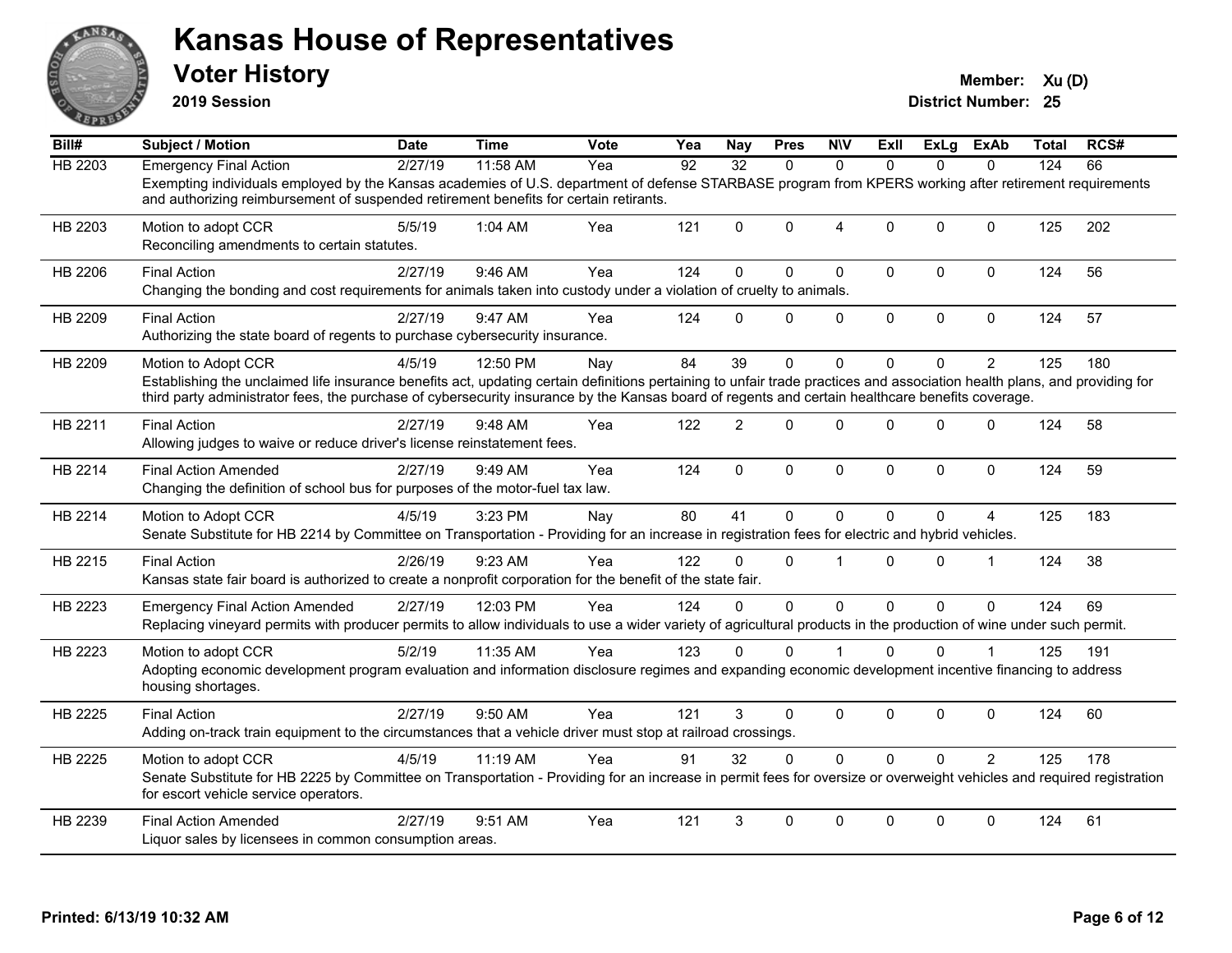

**2019 Session**

| Bill#          | Subject / Motion                                                                                                                                                                                                                                                                                                                                     | Date    | <b>Time</b> | Vote         | Yea             | <b>Nay</b>     | <b>Pres</b>  | <b>N\V</b>     | ExII         | ExLg        | ExAb           | Total | RCS# |
|----------------|------------------------------------------------------------------------------------------------------------------------------------------------------------------------------------------------------------------------------------------------------------------------------------------------------------------------------------------------------|---------|-------------|--------------|-----------------|----------------|--------------|----------------|--------------|-------------|----------------|-------|------|
| <b>HB 2203</b> | <b>Emergency Final Action</b>                                                                                                                                                                                                                                                                                                                        | 2/27/19 | 11:58 AM    | $\bar{Y}$ ea | $\overline{92}$ | 32             | $\Omega$     | $\Omega$       | $\Omega$     | $\Omega$    | $\Omega$       | 124   | 66   |
|                | Exempting individuals employed by the Kansas academies of U.S. department of defense STARBASE program from KPERS working after retirement requirements<br>and authorizing reimbursement of suspended retirement benefits for certain retirants.                                                                                                      |         |             |              |                 |                |              |                |              |             |                |       |      |
| HB 2203        | Motion to adopt CCR<br>Reconciling amendments to certain statutes.                                                                                                                                                                                                                                                                                   | 5/5/19  | 1:04 AM     | Yea          | 121             | $\Omega$       | $\Omega$     | $\overline{4}$ | $\Omega$     | $\mathbf 0$ | $\mathbf{0}$   | 125   | 202  |
| HB 2206        | <b>Final Action</b><br>Changing the bonding and cost requirements for animals taken into custody under a violation of cruelty to animals.                                                                                                                                                                                                            | 2/27/19 | 9:46 AM     | Yea          | 124             | $\mathbf 0$    | $\Omega$     | $\mathbf 0$    | $\mathbf 0$  | 0           | $\mathbf 0$    | 124   | 56   |
| HB 2209        | <b>Final Action</b><br>Authorizing the state board of regents to purchase cybersecurity insurance.                                                                                                                                                                                                                                                   | 2/27/19 | 9:47 AM     | Yea          | 124             | $\Omega$       | $\mathbf{0}$ | $\mathbf 0$    | $\mathsf 0$  | 0           | $\mathbf 0$    | 124   | 57   |
| HB 2209        | Motion to Adopt CCR<br>Establishing the unclaimed life insurance benefits act, updating certain definitions pertaining to unfair trade practices and association health plans, and providing for<br>third party administrator fees, the purchase of cybersecurity insurance by the Kansas board of regents and certain healthcare benefits coverage. | 4/5/19  | 12:50 PM    | Nay          | 84              | 39             | $\Omega$     | $\Omega$       | $\Omega$     | 0           | $\overline{2}$ | 125   | 180  |
| HB 2211        | <b>Final Action</b><br>Allowing judges to waive or reduce driver's license reinstatement fees.                                                                                                                                                                                                                                                       | 2/27/19 | 9:48 AM     | Yea          | 122             | $\overline{c}$ | $\Omega$     | 0              | $\Omega$     | $\mathbf 0$ | $\mathbf{0}$   | 124   | 58   |
| HB 2214        | <b>Final Action Amended</b><br>Changing the definition of school bus for purposes of the motor-fuel tax law.                                                                                                                                                                                                                                         | 2/27/19 | 9:49 AM     | Yea          | 124             | $\mathbf{0}$   | 0            | $\mathbf 0$    | $\mathbf{0}$ | 0           | $\mathbf 0$    | 124   | 59   |
| HB 2214        | Motion to Adopt CCR<br>Senate Substitute for HB 2214 by Committee on Transportation - Providing for an increase in registration fees for electric and hybrid vehicles.                                                                                                                                                                               | 4/5/19  | $3:23$ PM   | Nay          | 80              | 41             | 0            | $\Omega$       | $\Omega$     | 0           | 4              | 125   | 183  |
| HB 2215        | <b>Final Action</b><br>Kansas state fair board is authorized to create a nonprofit corporation for the benefit of the state fair.                                                                                                                                                                                                                    | 2/26/19 | 9:23 AM     | Yea          | 122             | $\Omega$       | $\mathbf{0}$ |                | $\Omega$     | $\Omega$    | -1             | 124   | 38   |
| HB 2223        | <b>Emergency Final Action Amended</b><br>Replacing vineyard permits with producer permits to allow individuals to use a wider variety of agricultural products in the production of wine under such permit.                                                                                                                                          | 2/27/19 | 12:03 PM    | Yea          | 124             | $\Omega$       | $\Omega$     | $\Omega$       | $\Omega$     | $\Omega$    | $\Omega$       | 124   | 69   |
| HB 2223        | Motion to adopt CCR<br>Adopting economic development program evaluation and information disclosure regimes and expanding economic development incentive financing to address<br>housing shortages.                                                                                                                                                   | 5/2/19  | 11:35 AM    | Yea          | 123             | $\Omega$       | $\Omega$     |                | $\Omega$     | $\Omega$    |                | 125   | 191  |
| HB 2225        | <b>Final Action</b><br>Adding on-track train equipment to the circumstances that a vehicle driver must stop at railroad crossings.                                                                                                                                                                                                                   | 2/27/19 | 9:50 AM     | Yea          | 121             | 3              | $\Omega$     | 0              | $\Omega$     | $\mathbf 0$ | $\mathbf{0}$   | 124   | 60   |
| HB 2225        | Motion to adopt CCR<br>Senate Substitute for HB 2225 by Committee on Transportation - Providing for an increase in permit fees for oversize or overweight vehicles and required registration<br>for escort vehicle service operators.                                                                                                                | 4/5/19  | $11:19$ AM  | Yea          | 91              | 32             | $\Omega$     | $\Omega$       | $\Omega$     | $\Omega$    | $\mathcal{P}$  | 125   | 178  |
| HB 2239        | <b>Final Action Amended</b><br>Liquor sales by licensees in common consumption areas.                                                                                                                                                                                                                                                                | 2/27/19 | 9:51 AM     | Yea          | 121             | 3              | $\Omega$     | $\Omega$       | $\Omega$     | $\Omega$    | $\Omega$       | 124   | 61   |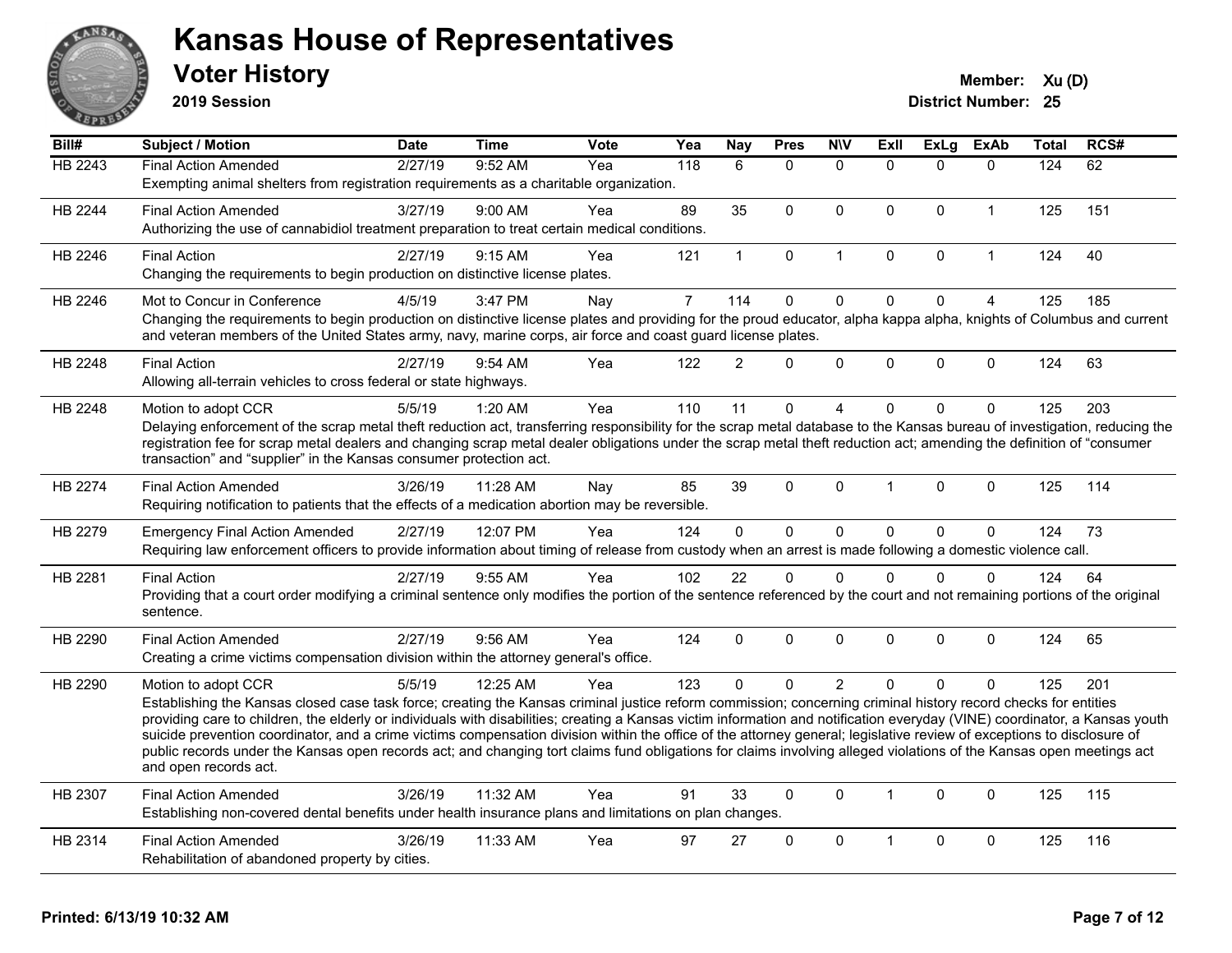

**2019 Session**

| Bill#          | Subject / Motion                                                                                                                                                                                                                                                                                                                                      | <b>Date</b> | Time     | <b>Vote</b> | Yea            | <b>Nay</b>     | <b>Pres</b>  | <b>NIV</b>   | <b>ExII</b>  | <b>ExLg</b> | <b>ExAb</b>    | Total | RCS# |
|----------------|-------------------------------------------------------------------------------------------------------------------------------------------------------------------------------------------------------------------------------------------------------------------------------------------------------------------------------------------------------|-------------|----------|-------------|----------------|----------------|--------------|--------------|--------------|-------------|----------------|-------|------|
| HB 2243        | <b>Final Action Amended</b>                                                                                                                                                                                                                                                                                                                           | 2/27/19     | 9:52 AM  | Yea         | 118            | 6              | $\mathbf{0}$ | $\mathbf{0}$ | $\Omega$     | $\Omega$    | $\mathbf{0}$   | 124   | 62   |
|                | Exempting animal shelters from registration requirements as a charitable organization.                                                                                                                                                                                                                                                                |             |          |             |                |                |              |              |              |             |                |       |      |
| <b>HB 2244</b> | <b>Final Action Amended</b>                                                                                                                                                                                                                                                                                                                           | 3/27/19     | 9:00 AM  | Yea         | 89             | 35             | $\mathbf{0}$ | $\mathbf{0}$ | $\Omega$     | $\Omega$    | $\mathbf{1}$   | 125   | 151  |
|                | Authorizing the use of cannabidiol treatment preparation to treat certain medical conditions.                                                                                                                                                                                                                                                         |             |          |             |                |                |              |              |              |             |                |       |      |
| HB 2246        | <b>Final Action</b>                                                                                                                                                                                                                                                                                                                                   | 2/27/19     | 9:15 AM  | Yea         | 121            | $\mathbf{1}$   | $\mathbf 0$  | $\mathbf{1}$ | $\Omega$     | 0           | $\mathbf{1}$   | 124   | 40   |
|                | Changing the requirements to begin production on distinctive license plates.                                                                                                                                                                                                                                                                          |             |          |             |                |                |              |              |              |             |                |       |      |
| HB 2246        | Mot to Concur in Conference                                                                                                                                                                                                                                                                                                                           | 4/5/19      | 3:47 PM  | Nay         | $\overline{7}$ | 114            | $\mathbf 0$  | $\pmb{0}$    | $\mathbf 0$  | 0           | $\overline{4}$ | 125   | 185  |
|                | Changing the requirements to begin production on distinctive license plates and providing for the proud educator, alpha kappa alpha, knights of Columbus and current<br>and veteran members of the United States army, navy, marine corps, air force and coast guard license plates.                                                                  |             |          |             |                |                |              |              |              |             |                |       |      |
| HB 2248        | <b>Final Action</b>                                                                                                                                                                                                                                                                                                                                   | 2/27/19     | 9:54 AM  | Yea         | 122            | $\overline{2}$ | $\Omega$     | $\mathbf{0}$ | $\Omega$     | $\Omega$    | $\mathbf{0}$   | 124   | 63   |
|                | Allowing all-terrain vehicles to cross federal or state highways.                                                                                                                                                                                                                                                                                     |             |          |             |                |                |              |              |              |             |                |       |      |
| HB 2248        | Motion to adopt CCR                                                                                                                                                                                                                                                                                                                                   | 5/5/19      | 1:20 AM  | Yea         | 110            | 11             | $\mathbf{0}$ | 4            | $\Omega$     | $\Omega$    | $\Omega$       | 125   | 203  |
|                | Delaying enforcement of the scrap metal theft reduction act, transferring responsibility for the scrap metal database to the Kansas bureau of investigation, reducing the                                                                                                                                                                             |             |          |             |                |                |              |              |              |             |                |       |      |
|                | registration fee for scrap metal dealers and changing scrap metal dealer obligations under the scrap metal theft reduction act; amending the definition of "consumer<br>transaction" and "supplier" in the Kansas consumer protection act.                                                                                                            |             |          |             |                |                |              |              |              |             |                |       |      |
|                |                                                                                                                                                                                                                                                                                                                                                       |             |          |             |                |                |              |              |              |             |                |       |      |
| <b>HB 2274</b> | <b>Final Action Amended</b>                                                                                                                                                                                                                                                                                                                           | 3/26/19     | 11:28 AM | Nay         | 85             | 39             | $\mathbf{0}$ | $\Omega$     | 1            | $\Omega$    | $\mathbf 0$    | 125   | 114  |
|                | Requiring notification to patients that the effects of a medication abortion may be reversible.                                                                                                                                                                                                                                                       |             |          |             |                |                |              |              |              |             |                |       |      |
| HB 2279        | <b>Emergency Final Action Amended</b>                                                                                                                                                                                                                                                                                                                 | 2/27/19     | 12:07 PM | Yea         | 124            | $\overline{0}$ | $\mathbf 0$  | $\pmb{0}$    | $\Omega$     | $\Omega$    | $\mathbf{0}$   | 124   | 73   |
|                | Requiring law enforcement officers to provide information about timing of release from custody when an arrest is made following a domestic violence call.                                                                                                                                                                                             |             |          |             |                |                |              |              |              |             |                |       |      |
| HB 2281        | <b>Final Action</b>                                                                                                                                                                                                                                                                                                                                   | 2/27/19     | 9:55 AM  | Yea         | 102            | 22             | $\mathbf{0}$ | $\Omega$     | $\Omega$     | $\Omega$    | $\mathbf{0}$   | 124   | 64   |
|                | Providing that a court order modifying a criminal sentence only modifies the portion of the sentence referenced by the court and not remaining portions of the original                                                                                                                                                                               |             |          |             |                |                |              |              |              |             |                |       |      |
|                | sentence.                                                                                                                                                                                                                                                                                                                                             |             |          |             |                |                |              |              |              |             |                |       |      |
| HB 2290        | <b>Final Action Amended</b>                                                                                                                                                                                                                                                                                                                           | 2/27/19     | 9:56 AM  | Yea         | 124            | $\mathbf{0}$   | $\mathbf{0}$ | $\mathbf{0}$ | $\Omega$     | $\Omega$    | $\mathbf{0}$   | 124   | 65   |
|                | Creating a crime victims compensation division within the attorney general's office.                                                                                                                                                                                                                                                                  |             |          |             |                |                |              |              |              |             |                |       |      |
| HB 2290        | Motion to adopt CCR                                                                                                                                                                                                                                                                                                                                   | 5/5/19      | 12:25 AM | Yea         | 123            | $\Omega$       | $\mathbf{0}$ | 2            | $\Omega$     | $\Omega$    | $\Omega$       | 125   | 201  |
|                | Establishing the Kansas closed case task force; creating the Kansas criminal justice reform commission; concerning criminal history record checks for entities                                                                                                                                                                                        |             |          |             |                |                |              |              |              |             |                |       |      |
|                | providing care to children, the elderly or individuals with disabilities; creating a Kansas victim information and notification everyday (VINE) coordinator, a Kansas youth<br>suicide prevention coordinator, and a crime victims compensation division within the office of the attorney general; legislative review of exceptions to disclosure of |             |          |             |                |                |              |              |              |             |                |       |      |
|                | public records under the Kansas open records act; and changing tort claims fund obligations for claims involving alleged violations of the Kansas open meetings act                                                                                                                                                                                   |             |          |             |                |                |              |              |              |             |                |       |      |
|                | and open records act.                                                                                                                                                                                                                                                                                                                                 |             |          |             |                |                |              |              |              |             |                |       |      |
| HB 2307        | <b>Final Action Amended</b>                                                                                                                                                                                                                                                                                                                           | 3/26/19     | 11:32 AM | Yea         | 91             | 33             | $\mathbf{0}$ | $\Omega$     | $\mathbf{1}$ | $\Omega$    | $\mathbf{0}$   | 125   | 115  |
|                | Establishing non-covered dental benefits under health insurance plans and limitations on plan changes.                                                                                                                                                                                                                                                |             |          |             |                |                |              |              |              |             |                |       |      |
| HB 2314        | <b>Final Action Amended</b>                                                                                                                                                                                                                                                                                                                           | 3/26/19     | 11:33 AM | Yea         | 97             | 27             | $\mathbf 0$  | $\Omega$     | 1            | 0           | $\mathbf 0$    | 125   | 116  |
|                | Rehabilitation of abandoned property by cities.                                                                                                                                                                                                                                                                                                       |             |          |             |                |                |              |              |              |             |                |       |      |
|                |                                                                                                                                                                                                                                                                                                                                                       |             |          |             |                |                |              |              |              |             |                |       |      |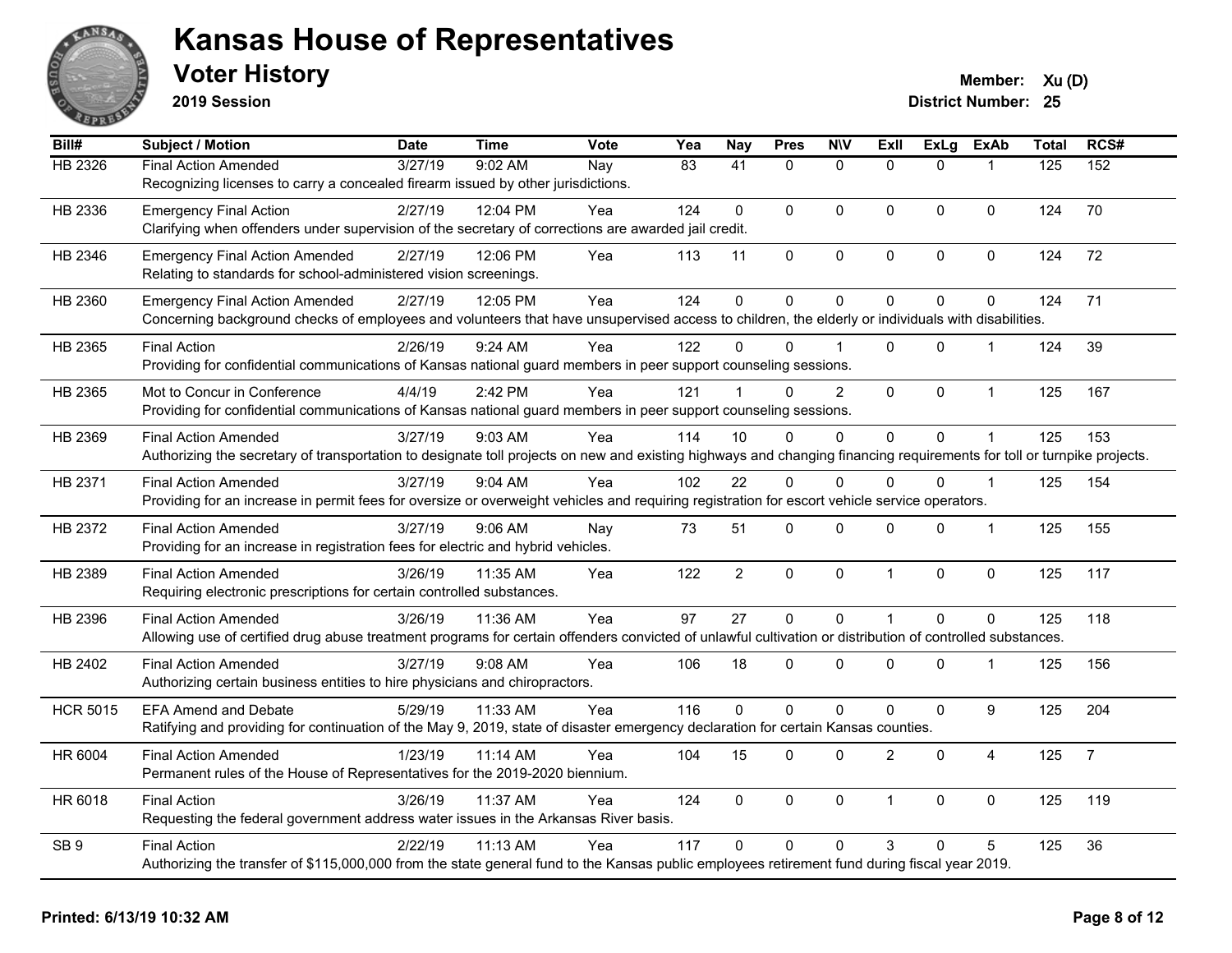

**2019 Session**

| Bill#           | <b>Subject / Motion</b>                                                                                                                                                | Date    | Time      | Vote | Yea             | <b>Nay</b>      | <b>Pres</b>    | <b>N\V</b>   | <b>Exll</b>    | <b>ExLg</b> | <b>ExAb</b>      | Total | RCS#           |
|-----------------|------------------------------------------------------------------------------------------------------------------------------------------------------------------------|---------|-----------|------|-----------------|-----------------|----------------|--------------|----------------|-------------|------------------|-------|----------------|
| <b>HB 2326</b>  | <b>Final Action Amended</b>                                                                                                                                            | 3/27/19 | 9:02 AM   | Nay  | $\overline{83}$ | $\overline{41}$ | $\mathbf{0}$   | $\mathbf{0}$ | $\Omega$       | $\Omega$    |                  | 125   | 152            |
|                 | Recognizing licenses to carry a concealed firearm issued by other jurisdictions.                                                                                       |         |           |      |                 |                 |                |              |                |             |                  |       |                |
| HB 2336         | <b>Emergency Final Action</b>                                                                                                                                          | 2/27/19 | 12:04 PM  | Yea  | 124             | $\Omega$        | $\Omega$       | $\mathbf{0}$ | $\Omega$       | $\Omega$    | $\mathbf 0$      | 124   | 70             |
|                 | Clarifying when offenders under supervision of the secretary of corrections are awarded jail credit.                                                                   |         |           |      |                 |                 |                |              |                |             |                  |       |                |
| HB 2346         | <b>Emergency Final Action Amended</b>                                                                                                                                  | 2/27/19 | 12:06 PM  | Yea  | 113             | 11              | 0              | $\mathbf 0$  | 0              | 0           | 0                | 124   | 72             |
|                 | Relating to standards for school-administered vision screenings.                                                                                                       |         |           |      |                 |                 |                |              |                |             |                  |       |                |
| HB 2360         | <b>Emergency Final Action Amended</b>                                                                                                                                  | 2/27/19 | 12:05 PM  | Yea  | 124             | $\mathbf 0$     | 0              | $\mathbf 0$  | 0              | 0           | $\mathbf 0$      | 124   | 71             |
|                 | Concerning background checks of employees and volunteers that have unsupervised access to children, the elderly or individuals with disabilities.                      |         |           |      |                 |                 |                |              |                |             |                  |       |                |
| HB 2365         | <b>Final Action</b>                                                                                                                                                    | 2/26/19 | 9:24 AM   | Yea  | 122             | $\Omega$        | $\Omega$       |              | $\Omega$       | $\Omega$    | $\mathbf{1}$     | 124   | 39             |
|                 | Providing for confidential communications of Kansas national guard members in peer support counseling sessions.                                                        |         |           |      |                 |                 |                |              |                |             |                  |       |                |
| HB 2365         | Mot to Concur in Conference                                                                                                                                            | 4/4/19  | 2:42 PM   | Yea  | 121             |                 | $\Omega$       | 2            | 0              | $\Omega$    | $\mathbf{1}$     | 125   | 167            |
|                 | Providing for confidential communications of Kansas national guard members in peer support counseling sessions.                                                        |         |           |      |                 |                 |                |              |                |             |                  |       |                |
| HB 2369         | <b>Final Action Amended</b>                                                                                                                                            | 3/27/19 | 9:03 AM   | Yea  | 114             | 10              | $\Omega$       | 0            | $\Omega$       | 0           |                  | 125   | 153            |
|                 | Authorizing the secretary of transportation to designate toll projects on new and existing highways and changing financing requirements for toll or turnpike projects. |         |           |      |                 |                 |                |              |                |             |                  |       |                |
| HB 2371         | <b>Final Action Amended</b>                                                                                                                                            | 3/27/19 | 9:04 AM   | Yea  | 102             | 22              | $\Omega$       | $\Omega$     | $\Omega$       | $\Omega$    | $\overline{1}$   | 125   | 154            |
|                 | Providing for an increase in permit fees for oversize or overweight vehicles and requiring registration for escort vehicle service operators.                          |         |           |      |                 |                 |                |              |                |             |                  |       |                |
| HB 2372         | <b>Final Action Amended</b>                                                                                                                                            | 3/27/19 | $9:06$ AM | Nay  | 73              | 51              | 0              | $\mathbf 0$  | 0              | 0           | $\mathbf{1}$     | 125   | 155            |
|                 | Providing for an increase in registration fees for electric and hybrid vehicles.                                                                                       |         |           |      |                 |                 |                |              |                |             |                  |       |                |
| HB 2389         | <b>Final Action Amended</b>                                                                                                                                            | 3/26/19 | 11:35 AM  | Yea  | 122             | $\overline{a}$  | $\mathbf 0$    | $\mathbf 0$  | $\mathbf{1}$   | $\mathbf 0$ | $\pmb{0}$        | 125   | 117            |
|                 | Requiring electronic prescriptions for certain controlled substances.                                                                                                  |         |           |      |                 |                 |                |              |                |             |                  |       |                |
| HB 2396         | <b>Final Action Amended</b>                                                                                                                                            | 3/26/19 | 11:36 AM  | Yea  | 97              | 27              | $\mathbf 0$    | $\mathbf 0$  | $\mathbf{1}$   | $\Omega$    | $\mathbf 0$      | 125   | 118            |
|                 | Allowing use of certified drug abuse treatment programs for certain offenders convicted of unlawful cultivation or distribution of controlled substances.              |         |           |      |                 |                 |                |              |                |             |                  |       |                |
| HB 2402         | <b>Final Action Amended</b>                                                                                                                                            | 3/27/19 | $9:08$ AM | Yea  | 106             | 18              | $\Omega$       | $\mathbf{0}$ | $\Omega$       | $\Omega$    | $\mathbf{1}$     | 125   | 156            |
|                 | Authorizing certain business entities to hire physicians and chiropractors.                                                                                            |         |           |      |                 |                 |                |              |                |             |                  |       |                |
| <b>HCR 5015</b> | <b>EFA Amend and Debate</b>                                                                                                                                            | 5/29/19 | 11:33 AM  | Yea  | 116             | $\Omega$        | $\overline{0}$ | $\mathbf 0$  | 0              | 0           | $\boldsymbol{9}$ | 125   | 204            |
|                 | Ratifying and providing for continuation of the May 9, 2019, state of disaster emergency declaration for certain Kansas counties.                                      |         |           |      |                 |                 |                |              |                |             |                  |       |                |
| HR 6004         | <b>Final Action Amended</b>                                                                                                                                            | 1/23/19 | 11:14 AM  | Yea  | 104             | 15              | 0              | $\mathbf 0$  | $\overline{2}$ | 0           | $\overline{4}$   | 125   | $\overline{7}$ |
|                 | Permanent rules of the House of Representatives for the 2019-2020 biennium.                                                                                            |         |           |      |                 |                 |                |              |                |             |                  |       |                |
| HR 6018         | <b>Final Action</b>                                                                                                                                                    | 3/26/19 | 11:37 AM  | Yea  | 124             | $\Omega$        | $\Omega$       | $\mathbf 0$  | $\mathbf{1}$   | $\Omega$    | $\mathbf 0$      | 125   | 119            |
|                 | Requesting the federal government address water issues in the Arkansas River basis.                                                                                    |         |           |      |                 |                 |                |              |                |             |                  |       |                |
| SB <sub>9</sub> | <b>Final Action</b>                                                                                                                                                    | 2/22/19 | 11:13 AM  | Yea  | 117             | $\Omega$        | $\Omega$       | $\mathbf{0}$ | 3              | $\Omega$    | 5                | 125   | 36             |
|                 | Authorizing the transfer of \$115,000,000 from the state general fund to the Kansas public employees retirement fund during fiscal year 2019.                          |         |           |      |                 |                 |                |              |                |             |                  |       |                |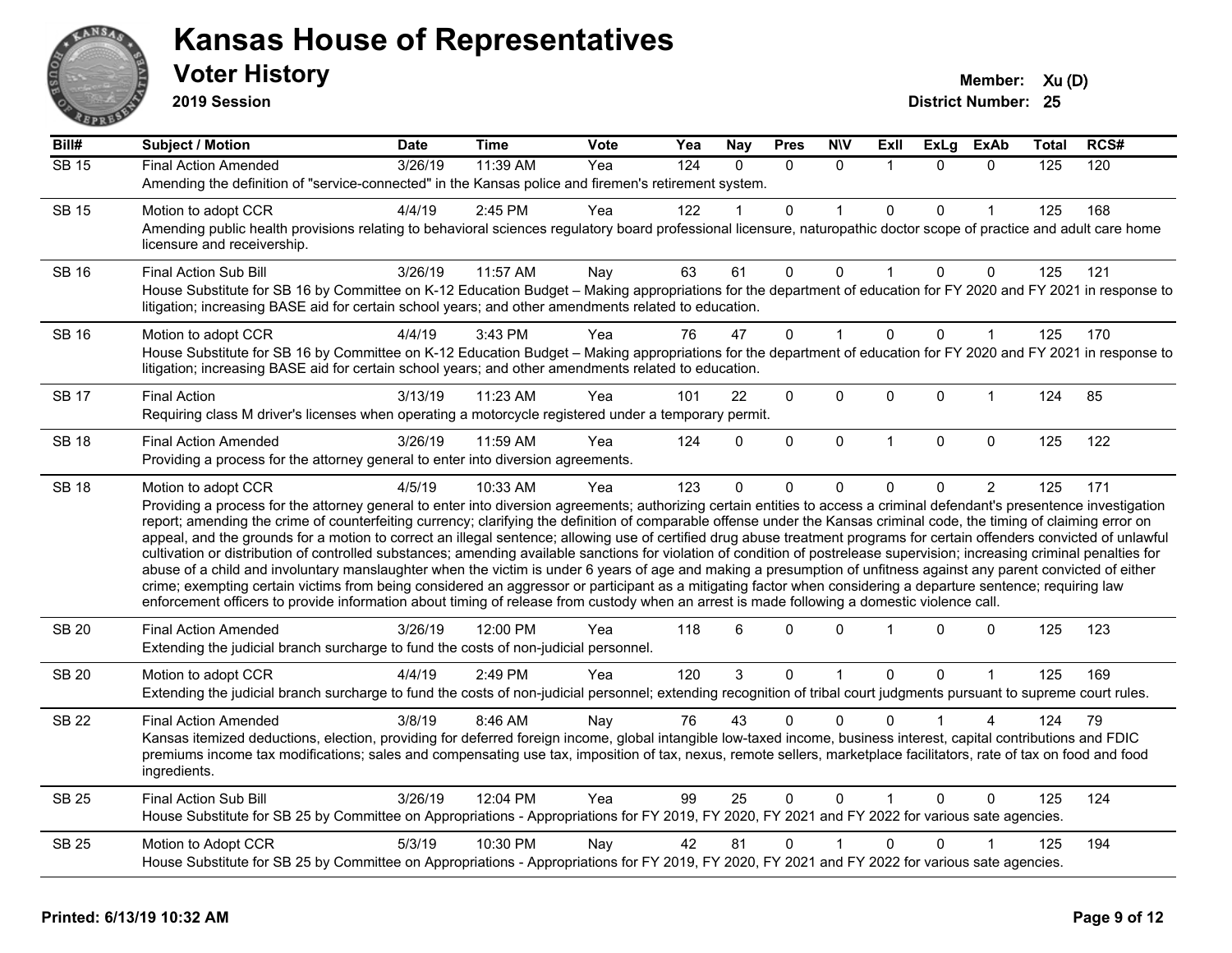

**2019 Session**

| Bill#        | <b>Subject / Motion</b>                                                                                                                                                                                                                                                                                                                                                                                                                                                                                                                                                                                                                                                                                                                                                                                                                                                                                                                                                                                                                                                                                                                                                                              | <b>Date</b> | <b>Time</b> | Vote | Yea | <b>Nay</b> | <b>Pres</b> | <b>NIV</b>   | ExII           | <b>ExLg</b>  | <b>ExAb</b>    | Total | RCS# |
|--------------|------------------------------------------------------------------------------------------------------------------------------------------------------------------------------------------------------------------------------------------------------------------------------------------------------------------------------------------------------------------------------------------------------------------------------------------------------------------------------------------------------------------------------------------------------------------------------------------------------------------------------------------------------------------------------------------------------------------------------------------------------------------------------------------------------------------------------------------------------------------------------------------------------------------------------------------------------------------------------------------------------------------------------------------------------------------------------------------------------------------------------------------------------------------------------------------------------|-------------|-------------|------|-----|------------|-------------|--------------|----------------|--------------|----------------|-------|------|
| <b>SB 15</b> | <b>Final Action Amended</b>                                                                                                                                                                                                                                                                                                                                                                                                                                                                                                                                                                                                                                                                                                                                                                                                                                                                                                                                                                                                                                                                                                                                                                          | 3/26/19     | 11:39 AM    | Yea  | 124 | $\Omega$   | $\Omega$    | $\mathbf{0}$ | $\mathbf 1$    | $\Omega$     | $\mathbf{0}$   | 125   | 120  |
|              | Amending the definition of "service-connected" in the Kansas police and firemen's retirement system.                                                                                                                                                                                                                                                                                                                                                                                                                                                                                                                                                                                                                                                                                                                                                                                                                                                                                                                                                                                                                                                                                                 |             |             |      |     |            |             |              |                |              |                |       |      |
| <b>SB 15</b> | Motion to adopt CCR                                                                                                                                                                                                                                                                                                                                                                                                                                                                                                                                                                                                                                                                                                                                                                                                                                                                                                                                                                                                                                                                                                                                                                                  | 4/4/19      | 2:45 PM     | Yea  | 122 |            | 0           |              | $\Omega$       | 0            |                | 125   | 168  |
|              | Amending public health provisions relating to behavioral sciences regulatory board professional licensure, naturopathic doctor scope of practice and adult care home<br>licensure and receivership.                                                                                                                                                                                                                                                                                                                                                                                                                                                                                                                                                                                                                                                                                                                                                                                                                                                                                                                                                                                                  |             |             |      |     |            |             |              |                |              |                |       |      |
| SB 16        | Final Action Sub Bill                                                                                                                                                                                                                                                                                                                                                                                                                                                                                                                                                                                                                                                                                                                                                                                                                                                                                                                                                                                                                                                                                                                                                                                | 3/26/19     | 11:57 AM    | Nay  | 63  | 61         | 0           | $\Omega$     | $\mathbf{1}$   | $\Omega$     | $\mathbf 0$    | 125   | 121  |
|              | House Substitute for SB 16 by Committee on K-12 Education Budget - Making appropriations for the department of education for FY 2020 and FY 2021 in response to<br>litigation; increasing BASE aid for certain school years; and other amendments related to education.                                                                                                                                                                                                                                                                                                                                                                                                                                                                                                                                                                                                                                                                                                                                                                                                                                                                                                                              |             |             |      |     |            |             |              |                |              |                |       |      |
| <b>SB 16</b> | Motion to adopt CCR                                                                                                                                                                                                                                                                                                                                                                                                                                                                                                                                                                                                                                                                                                                                                                                                                                                                                                                                                                                                                                                                                                                                                                                  | 4/4/19      | 3:43 PM     | Yea  | 76  | 47         | 0           |              | $\Omega$       | $\Omega$     | 1              | 125   | 170  |
|              | House Substitute for SB 16 by Committee on K-12 Education Budget - Making appropriations for the department of education for FY 2020 and FY 2021 in response to<br>litigation; increasing BASE aid for certain school years; and other amendments related to education.                                                                                                                                                                                                                                                                                                                                                                                                                                                                                                                                                                                                                                                                                                                                                                                                                                                                                                                              |             |             |      |     |            |             |              |                |              |                |       |      |
| <b>SB 17</b> | <b>Final Action</b>                                                                                                                                                                                                                                                                                                                                                                                                                                                                                                                                                                                                                                                                                                                                                                                                                                                                                                                                                                                                                                                                                                                                                                                  | 3/13/19     | 11:23 AM    | Yea  | 101 | 22         | $\Omega$    | 0            | $\mathbf 0$    | $\Omega$     | 1              | 124   | 85   |
|              | Requiring class M driver's licenses when operating a motorcycle registered under a temporary permit.                                                                                                                                                                                                                                                                                                                                                                                                                                                                                                                                                                                                                                                                                                                                                                                                                                                                                                                                                                                                                                                                                                 |             |             |      |     |            |             |              |                |              |                |       |      |
| <b>SB 18</b> | <b>Final Action Amended</b>                                                                                                                                                                                                                                                                                                                                                                                                                                                                                                                                                                                                                                                                                                                                                                                                                                                                                                                                                                                                                                                                                                                                                                          | 3/26/19     | 11:59 AM    | Yea  | 124 | $\Omega$   | $\Omega$    | $\mathbf{0}$ | $\overline{1}$ | $\mathbf{0}$ | $\mathbf{0}$   | 125   | 122  |
|              | Providing a process for the attorney general to enter into diversion agreements.                                                                                                                                                                                                                                                                                                                                                                                                                                                                                                                                                                                                                                                                                                                                                                                                                                                                                                                                                                                                                                                                                                                     |             |             |      |     |            |             |              |                |              |                |       |      |
| <b>SB 18</b> | Motion to adopt CCR                                                                                                                                                                                                                                                                                                                                                                                                                                                                                                                                                                                                                                                                                                                                                                                                                                                                                                                                                                                                                                                                                                                                                                                  | 4/5/19      | 10:33 AM    | Yea  | 123 | $\Omega$   | 0           | 0            | $\mathbf{0}$   | 0            | $\overline{2}$ | 125   | 171  |
|              | Providing a process for the attorney general to enter into diversion agreements; authorizing certain entities to access a criminal defendant's presentence investigation<br>report; amending the crime of counterfeiting currency; clarifying the definition of comparable offense under the Kansas criminal code, the timing of claiming error on<br>appeal, and the grounds for a motion to correct an illegal sentence; allowing use of certified drug abuse treatment programs for certain offenders convicted of unlawful<br>cultivation or distribution of controlled substances; amending available sanctions for violation of condition of postrelease supervision; increasing criminal penalties for<br>abuse of a child and involuntary manslaughter when the victim is under 6 years of age and making a presumption of unfitness against any parent convicted of either<br>crime; exempting certain victims from being considered an aggressor or participant as a mitigating factor when considering a departure sentence; requiring law<br>enforcement officers to provide information about timing of release from custody when an arrest is made following a domestic violence call. |             |             |      |     |            |             |              |                |              |                |       |      |
| <b>SB 20</b> | <b>Final Action Amended</b><br>Extending the judicial branch surcharge to fund the costs of non-judicial personnel.                                                                                                                                                                                                                                                                                                                                                                                                                                                                                                                                                                                                                                                                                                                                                                                                                                                                                                                                                                                                                                                                                  | 3/26/19     | 12:00 PM    | Yea  | 118 | 6          | 0           | $\Omega$     |                | $\Omega$     | $\mathbf 0$    | 125   | 123  |
| <b>SB 20</b> | Motion to adopt CCR                                                                                                                                                                                                                                                                                                                                                                                                                                                                                                                                                                                                                                                                                                                                                                                                                                                                                                                                                                                                                                                                                                                                                                                  | 4/4/19      | 2:49 PM     | Yea  | 120 | 3          | 0           | 1            | $\mathbf 0$    | 0            | 1              | 125   | 169  |
|              | Extending the judicial branch surcharge to fund the costs of non-judicial personnel; extending recognition of tribal court judgments pursuant to supreme court rules.                                                                                                                                                                                                                                                                                                                                                                                                                                                                                                                                                                                                                                                                                                                                                                                                                                                                                                                                                                                                                                |             |             |      |     |            |             |              |                |              |                |       |      |
| <b>SB 22</b> | <b>Final Action Amended</b>                                                                                                                                                                                                                                                                                                                                                                                                                                                                                                                                                                                                                                                                                                                                                                                                                                                                                                                                                                                                                                                                                                                                                                          | 3/8/19      | 8:46 AM     | Nay  | 76  | 43         | $\Omega$    | $\Omega$     | $\Omega$       |              | 4              | 124   | 79   |
|              | Kansas itemized deductions, election, providing for deferred foreign income, global intangible low-taxed income, business interest, capital contributions and FDIC<br>premiums income tax modifications; sales and compensating use tax, imposition of tax, nexus, remote sellers, marketplace facilitators, rate of tax on food and food<br>ingredients.                                                                                                                                                                                                                                                                                                                                                                                                                                                                                                                                                                                                                                                                                                                                                                                                                                            |             |             |      |     |            |             |              |                |              |                |       |      |
| <b>SB 25</b> | Final Action Sub Bill                                                                                                                                                                                                                                                                                                                                                                                                                                                                                                                                                                                                                                                                                                                                                                                                                                                                                                                                                                                                                                                                                                                                                                                | 3/26/19     | 12:04 PM    | Yea  | 99  | 25         | $\Omega$    | $\mathbf{0}$ | $\overline{1}$ | $\Omega$     | $\mathbf{0}$   | 125   | 124  |
|              | House Substitute for SB 25 by Committee on Appropriations - Appropriations for FY 2019, FY 2020, FY 2021 and FY 2022 for various sate agencies.                                                                                                                                                                                                                                                                                                                                                                                                                                                                                                                                                                                                                                                                                                                                                                                                                                                                                                                                                                                                                                                      |             |             |      |     |            |             |              |                |              |                |       |      |
| <b>SB 25</b> | Motion to Adopt CCR                                                                                                                                                                                                                                                                                                                                                                                                                                                                                                                                                                                                                                                                                                                                                                                                                                                                                                                                                                                                                                                                                                                                                                                  | 5/3/19      | 10:30 PM    | Nay  | 42  | 81         | 0           |              | 0              | 0            |                | 125   | 194  |
|              | House Substitute for SB 25 by Committee on Appropriations - Appropriations for FY 2019, FY 2020, FY 2021 and FY 2022 for various sate agencies.                                                                                                                                                                                                                                                                                                                                                                                                                                                                                                                                                                                                                                                                                                                                                                                                                                                                                                                                                                                                                                                      |             |             |      |     |            |             |              |                |              |                |       |      |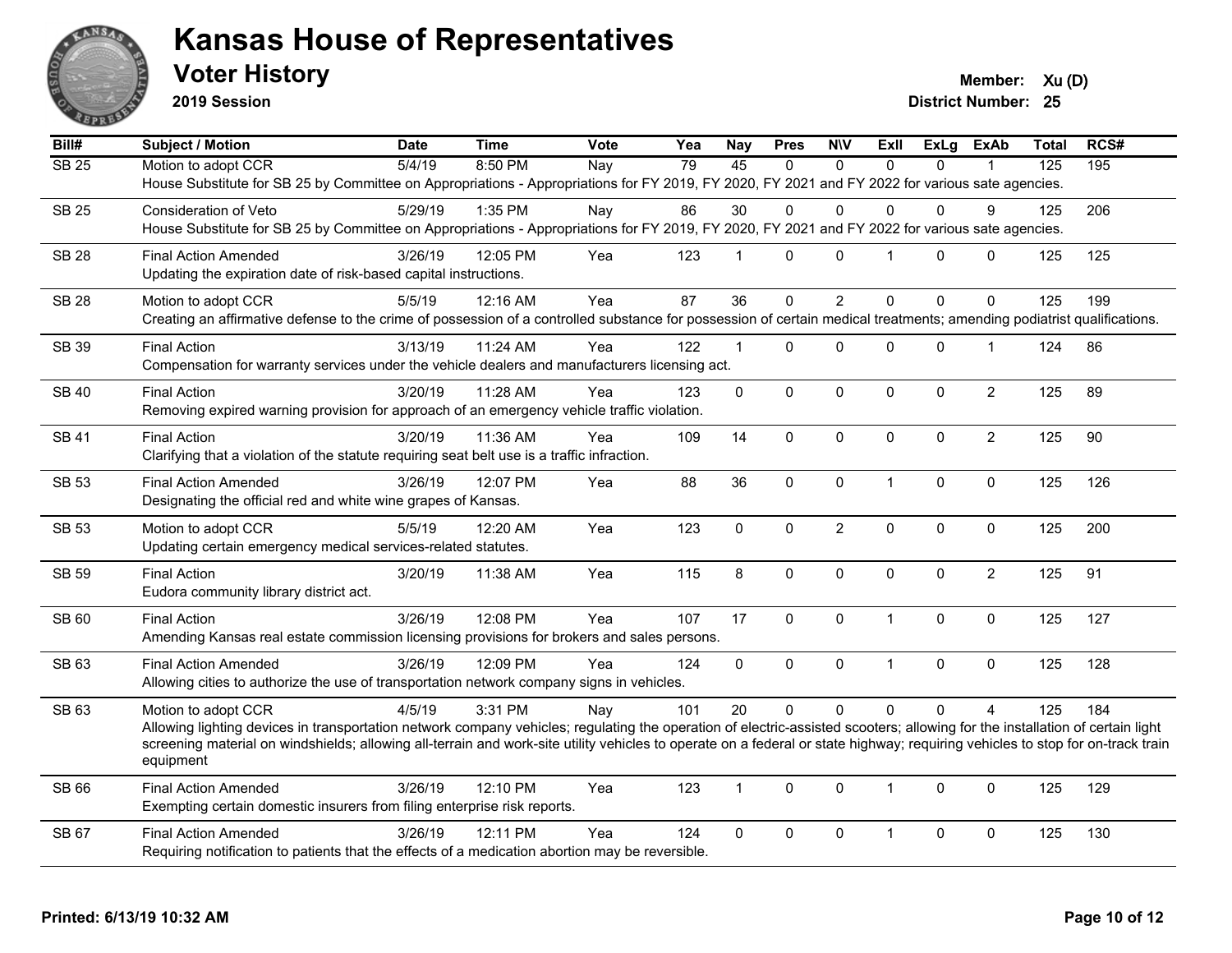

**2019 Session**

**Voter History Member:**  $Xu(D)$ 

| Bill#        | <b>Subject / Motion</b>                                                                                                                                                                                                                                                                                                                                                                            | <b>Date</b> | <b>Time</b> | <b>Vote</b> | Yea | <b>Nay</b>   | <b>Pres</b>  | <b>NIV</b>       | <b>ExII</b>    | <b>ExLg</b> | <b>ExAb</b>    | <b>Total</b> | RCS# |
|--------------|----------------------------------------------------------------------------------------------------------------------------------------------------------------------------------------------------------------------------------------------------------------------------------------------------------------------------------------------------------------------------------------------------|-------------|-------------|-------------|-----|--------------|--------------|------------------|----------------|-------------|----------------|--------------|------|
| <b>SB 25</b> | Motion to adopt CCR<br>House Substitute for SB 25 by Committee on Appropriations - Appropriations for FY 2019, FY 2020, FY 2021 and FY 2022 for various sate agencies.                                                                                                                                                                                                                             | 5/4/19      | 8:50 PM     | Nay         | 79  | 45           | $\Omega$     | $\mathbf{0}$     | $\Omega$       | $\Omega$    |                | 125          | 195  |
| <b>SB 25</b> | <b>Consideration of Veto</b><br>House Substitute for SB 25 by Committee on Appropriations - Appropriations for FY 2019, FY 2020, FY 2021 and FY 2022 for various sate agencies.                                                                                                                                                                                                                    | 5/29/19     | 1:35 PM     | Nay         | 86  | 30           | 0            | $\mathbf{0}$     | $\Omega$       | 0           | 9              | 125          | 206  |
| <b>SB 28</b> | <b>Final Action Amended</b><br>Updating the expiration date of risk-based capital instructions.                                                                                                                                                                                                                                                                                                    | 3/26/19     | 12:05 PM    | Yea         | 123 | 1            | $\Omega$     | $\mathbf 0$      | $\overline{1}$ | $\Omega$    | $\mathbf 0$    | 125          | 125  |
| <b>SB 28</b> | Motion to adopt CCR<br>Creating an affirmative defense to the crime of possession of a controlled substance for possession of certain medical treatments; amending podiatrist qualifications.                                                                                                                                                                                                      | 5/5/19      | 12:16 AM    | Yea         | 87  | 36           | $\Omega$     | 2                | $\Omega$       | $\Omega$    | $\Omega$       | 125          | 199  |
| <b>SB 39</b> | <b>Final Action</b><br>Compensation for warranty services under the vehicle dealers and manufacturers licensing act.                                                                                                                                                                                                                                                                               | 3/13/19     | 11:24 AM    | Yea         | 122 | $\mathbf{1}$ | 0            | $\mathbf 0$      | $\Omega$       | 0           | $\mathbf{1}$   | 124          | 86   |
| <b>SB 40</b> | <b>Final Action</b><br>Removing expired warning provision for approach of an emergency vehicle traffic violation.                                                                                                                                                                                                                                                                                  | 3/20/19     | 11:28 AM    | Yea         | 123 | 0            | $\mathbf{0}$ | $\mathbf 0$      | $\Omega$       | $\Omega$    | $\overline{2}$ | 125          | 89   |
| <b>SB 41</b> | <b>Final Action</b><br>Clarifying that a violation of the statute requiring seat belt use is a traffic infraction.                                                                                                                                                                                                                                                                                 | 3/20/19     | 11:36 AM    | Yea         | 109 | 14           | 0            | $\mathbf 0$      | $\Omega$       | 0           | $\overline{2}$ | 125          | 90   |
| <b>SB 53</b> | <b>Final Action Amended</b><br>Designating the official red and white wine grapes of Kansas.                                                                                                                                                                                                                                                                                                       | 3/26/19     | 12:07 PM    | Yea         | 88  | 36           | 0            | $\pmb{0}$        | $\mathbf{1}$   | 0           | $\mathbf 0$    | 125          | 126  |
| <b>SB 53</b> | Motion to adopt CCR<br>Updating certain emergency medical services-related statutes.                                                                                                                                                                                                                                                                                                               | 5/5/19      | 12:20 AM    | Yea         | 123 | $\Omega$     | $\Omega$     | $\boldsymbol{2}$ | $\mathbf{0}$   | $\pmb{0}$   | $\mathsf 0$    | 125          | 200  |
| <b>SB 59</b> | <b>Final Action</b><br>Eudora community library district act.                                                                                                                                                                                                                                                                                                                                      | 3/20/19     | 11:38 AM    | Yea         | 115 | 8            | $\mathbf{0}$ | $\mathbf 0$      | $\Omega$       | $\Omega$    | $\overline{2}$ | 125          | 91   |
| SB 60        | <b>Final Action</b><br>Amending Kansas real estate commission licensing provisions for brokers and sales persons.                                                                                                                                                                                                                                                                                  | 3/26/19     | 12:08 PM    | Yea         | 107 | 17           | 0            | $\mathbf 0$      | $\mathbf{1}$   | 0           | $\mathbf 0$    | 125          | 127  |
| SB 63        | <b>Final Action Amended</b><br>Allowing cities to authorize the use of transportation network company signs in vehicles.                                                                                                                                                                                                                                                                           | 3/26/19     | 12:09 PM    | Yea         | 124 | 0            | 0            | $\pmb{0}$        | $\overline{1}$ | 0           | $\pmb{0}$      | 125          | 128  |
| SB 63        | Motion to adopt CCR<br>Allowing lighting devices in transportation network company vehicles; regulating the operation of electric-assisted scooters; allowing for the installation of certain light<br>screening material on windshields; allowing all-terrain and work-site utility vehicles to operate on a federal or state highway; requiring vehicles to stop for on-track train<br>equipment | 4/5/19      | 3:31 PM     | Nay         | 101 | 20           | $\Omega$     | $\Omega$         | $\Omega$       | $\Omega$    | $\overline{4}$ | 125          | 184  |
| SB 66        | <b>Final Action Amended</b><br>Exempting certain domestic insurers from filing enterprise risk reports.                                                                                                                                                                                                                                                                                            | 3/26/19     | 12:10 PM    | Yea         | 123 | $\mathbf{1}$ | $\mathbf{0}$ | $\mathbf{0}$     | $\mathbf{1}$   | $\Omega$    | $\mathbf{0}$   | 125          | 129  |
| SB 67        | <b>Final Action Amended</b><br>Requiring notification to patients that the effects of a medication abortion may be reversible.                                                                                                                                                                                                                                                                     | 3/26/19     | 12:11 PM    | Yea         | 124 | $\Omega$     | 0            | $\mathbf 0$      | 1              | $\mathbf 0$ | $\mathbf{0}$   | 125          | 130  |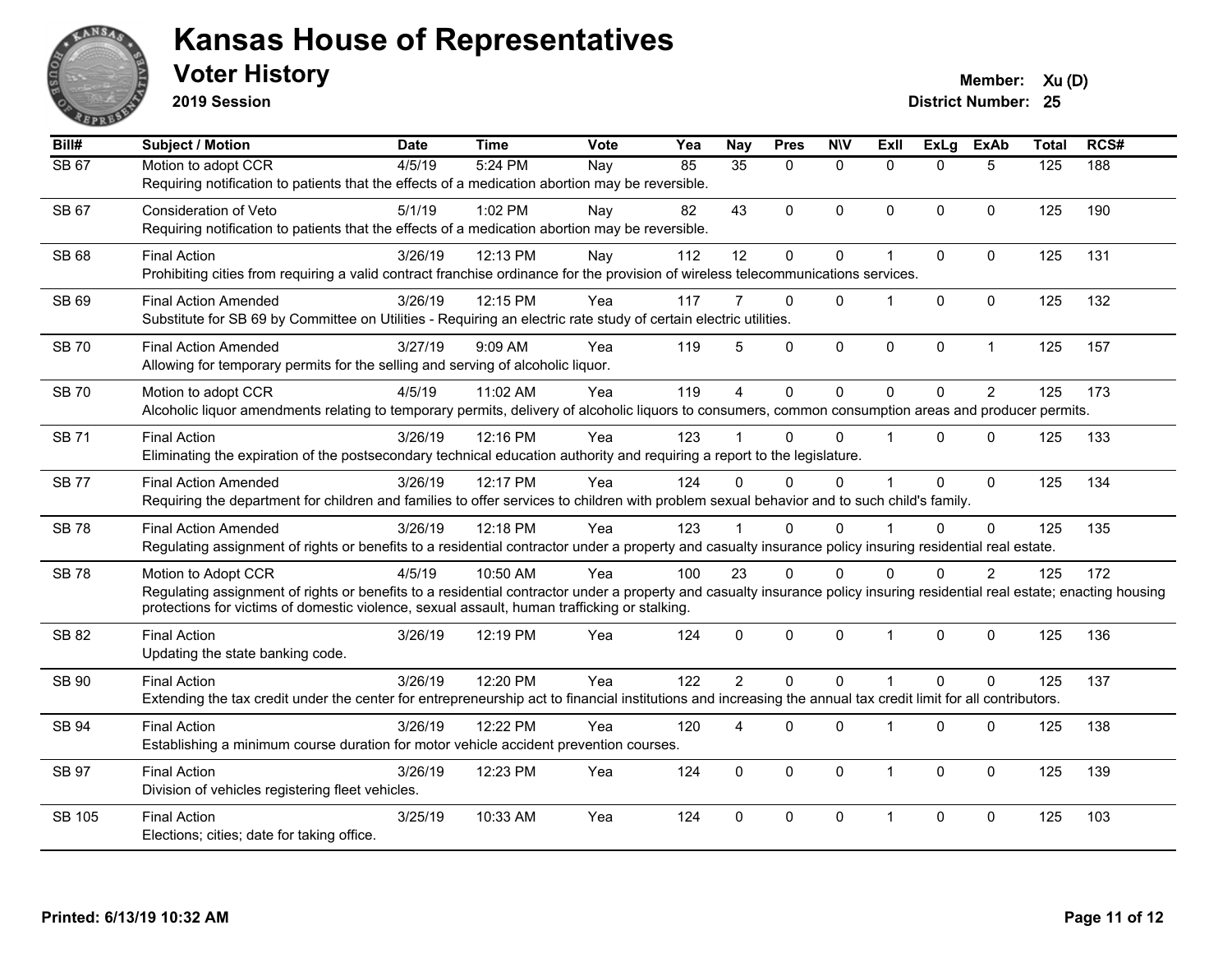

**2019 Session**

| Bill#         | <b>Subject / Motion</b>                                                                                                                                                                                                                                                   | <b>Date</b> | <b>Time</b> | Vote | Yea | <b>Nay</b>     | <b>Pres</b>  | <b>N\V</b>   | ExII                    | <b>ExLg</b>  | <b>ExAb</b>    | <b>Total</b>     | RCS# |
|---------------|---------------------------------------------------------------------------------------------------------------------------------------------------------------------------------------------------------------------------------------------------------------------------|-------------|-------------|------|-----|----------------|--------------|--------------|-------------------------|--------------|----------------|------------------|------|
| <b>SB 67</b>  | Motion to adopt CCR                                                                                                                                                                                                                                                       | 4/5/19      | 5:24 PM     | Nay  | 85  | 35             | $\mathbf{0}$ | $\mathbf{0}$ | $\Omega$                | $\Omega$     | 5              | $\overline{125}$ | 188  |
|               | Requiring notification to patients that the effects of a medication abortion may be reversible.                                                                                                                                                                           |             |             |      |     |                |              |              |                         |              |                |                  |      |
| <b>SB 67</b>  | <b>Consideration of Veto</b>                                                                                                                                                                                                                                              | 5/1/19      | 1:02 PM     | Nay  | 82  | 43             | $\Omega$     | $\mathbf 0$  | $\mathbf{0}$            | 0            | $\mathbf{0}$   | 125              | 190  |
|               | Requiring notification to patients that the effects of a medication abortion may be reversible.                                                                                                                                                                           |             |             |      |     |                |              |              |                         |              |                |                  |      |
| SB 68         | <b>Final Action</b>                                                                                                                                                                                                                                                       | 3/26/19     | 12:13 PM    | Nay  | 112 | 12             | 0            | $\pmb{0}$    | 1                       | 0            | 0              | 125              | 131  |
|               | Prohibiting cities from requiring a valid contract franchise ordinance for the provision of wireless telecommunications services.                                                                                                                                         |             |             |      |     |                |              |              |                         |              |                |                  |      |
| SB 69         | <b>Final Action Amended</b>                                                                                                                                                                                                                                               | 3/26/19     | 12:15 PM    | Yea  | 117 | 7              | $\mathbf{0}$ | $\Omega$     | $\overline{1}$          | $\Omega$     | $\mathbf 0$    | 125              | 132  |
|               | Substitute for SB 69 by Committee on Utilities - Requiring an electric rate study of certain electric utilities.                                                                                                                                                          |             |             |      |     |                |              |              |                         |              |                |                  |      |
|               |                                                                                                                                                                                                                                                                           |             |             |      |     |                |              |              |                         |              |                |                  |      |
| <b>SB 70</b>  | <b>Final Action Amended</b>                                                                                                                                                                                                                                               | 3/27/19     | 9:09 AM     | Yea  | 119 | 5              | $\mathbf 0$  | $\mathbf 0$  | $\mathbf 0$             | 0            | $\mathbf{1}$   | 125              | 157  |
|               | Allowing for temporary permits for the selling and serving of alcoholic liquor.                                                                                                                                                                                           |             |             |      |     |                |              |              |                         |              |                |                  |      |
| <b>SB70</b>   | Motion to adopt CCR                                                                                                                                                                                                                                                       | 4/5/19      | 11:02 AM    | Yea  | 119 | $\overline{4}$ | $\mathbf 0$  | $\mathbf 0$  | $\Omega$                | $\Omega$     | $\overline{2}$ | 125              | 173  |
|               | Alcoholic liquor amendments relating to temporary permits, delivery of alcoholic liquors to consumers, common consumption areas and producer permits.                                                                                                                     |             |             |      |     |                |              |              |                         |              |                |                  |      |
| <b>SB71</b>   | <b>Final Action</b>                                                                                                                                                                                                                                                       | 3/26/19     | 12:16 PM    | Yea  | 123 |                | $\Omega$     | $\Omega$     | $\overline{1}$          | $\Omega$     | $\Omega$       | 125              | 133  |
|               | Eliminating the expiration of the postsecondary technical education authority and requiring a report to the legislature.                                                                                                                                                  |             |             |      |     |                |              |              |                         |              |                |                  |      |
| <b>SB77</b>   | <b>Final Action Amended</b>                                                                                                                                                                                                                                               | 3/26/19     | 12:17 PM    | Yea  | 124 | $\Omega$       | $\Omega$     | $\Omega$     | $\overline{1}$          | $\Omega$     | $\mathbf{0}$   | 125              | 134  |
|               | Requiring the department for children and families to offer services to children with problem sexual behavior and to such child's family.                                                                                                                                 |             |             |      |     |                |              |              |                         |              |                |                  |      |
| <b>SB78</b>   | <b>Final Action Amended</b>                                                                                                                                                                                                                                               | 3/26/19     | 12:18 PM    | Yea  | 123 |                | $\Omega$     | $\Omega$     | $\overline{\mathbf{1}}$ | $\Omega$     | $\Omega$       | 125              | 135  |
|               | Regulating assignment of rights or benefits to a residential contractor under a property and casualty insurance policy insuring residential real estate.                                                                                                                  |             |             |      |     |                |              |              |                         |              |                |                  |      |
|               |                                                                                                                                                                                                                                                                           |             |             |      |     |                |              |              |                         |              |                |                  |      |
| <b>SB78</b>   | Motion to Adopt CCR                                                                                                                                                                                                                                                       | 4/5/19      | 10:50 AM    | Yea  | 100 | 23             | $\Omega$     | $\Omega$     | $\Omega$                | 0            | 2              | 125              | 172  |
|               | Regulating assignment of rights or benefits to a residential contractor under a property and casualty insurance policy insuring residential real estate; enacting housing<br>protections for victims of domestic violence, sexual assault, human trafficking or stalking. |             |             |      |     |                |              |              |                         |              |                |                  |      |
|               |                                                                                                                                                                                                                                                                           |             |             |      |     |                |              |              |                         |              |                |                  |      |
| <b>SB 82</b>  | <b>Final Action</b>                                                                                                                                                                                                                                                       | 3/26/19     | 12:19 PM    | Yea  | 124 | $\mathbf 0$    | 0            | $\pmb{0}$    | $\overline{1}$          | 0            | 0              | 125              | 136  |
|               | Updating the state banking code.                                                                                                                                                                                                                                          |             |             |      |     |                |              |              |                         |              |                |                  |      |
| SB 90         | <b>Final Action</b>                                                                                                                                                                                                                                                       | 3/26/19     | 12:20 PM    | Yea  | 122 | $\overline{2}$ | $\Omega$     | $\mathbf{0}$ | $\overline{1}$          | $\Omega$     | $\Omega$       | 125              | 137  |
|               | Extending the tax credit under the center for entrepreneurship act to financial institutions and increasing the annual tax credit limit for all contributors.                                                                                                             |             |             |      |     |                |              |              |                         |              |                |                  |      |
| SB 94         | <b>Final Action</b>                                                                                                                                                                                                                                                       | 3/26/19     | 12:22 PM    | Yea  | 120 | 4              | $\mathbf{0}$ | 0            | $\overline{1}$          | 0            | 0              | 125              | 138  |
|               | Establishing a minimum course duration for motor vehicle accident prevention courses.                                                                                                                                                                                     |             |             |      |     |                |              |              |                         |              |                |                  |      |
| <b>SB 97</b>  | <b>Final Action</b>                                                                                                                                                                                                                                                       | 3/26/19     | 12:23 PM    | Yea  | 124 | $\mathbf{0}$   | $\mathbf{0}$ | $\mathbf{0}$ | $\overline{\mathbf{1}}$ | $\mathbf{0}$ | $\mathbf 0$    | 125              | 139  |
|               | Division of vehicles registering fleet vehicles.                                                                                                                                                                                                                          |             |             |      |     |                |              |              |                         |              |                |                  |      |
|               |                                                                                                                                                                                                                                                                           |             |             |      |     |                |              |              |                         |              |                |                  |      |
| <b>SB 105</b> | <b>Final Action</b>                                                                                                                                                                                                                                                       | 3/25/19     | 10:33 AM    | Yea  | 124 | $\Omega$       | $\mathbf{0}$ | $\mathbf{0}$ | $\overline{1}$          | $\Omega$     | $\Omega$       | 125              | 103  |
|               | Elections; cities; date for taking office.                                                                                                                                                                                                                                |             |             |      |     |                |              |              |                         |              |                |                  |      |